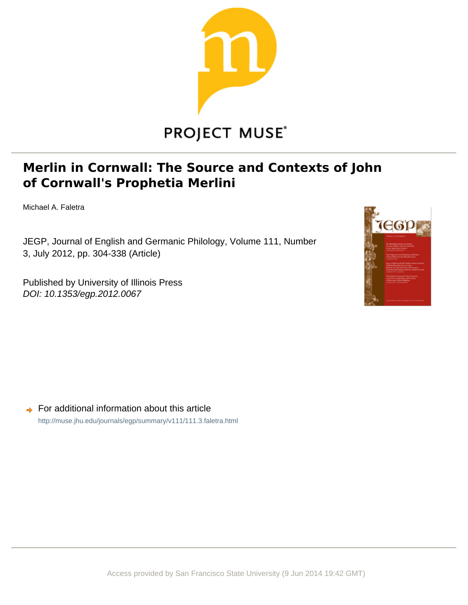

# **PROJECT MUSE®**

## **Merlin in Cornwall: The Source and Contexts of John** of Cornwall's Prophetia Merlini

Michael A. Faletra

JEGP, Journal of English and Germanic Philology, Volume 111, Number 3, July 2012, pp. 304-338 (Article)

Published by University of Illinois Press DOI: 10.1353/egp.2012.0067



For additional information about this article <http://muse.jhu.edu/journals/egp/summary/v111/111.3.faletra.html>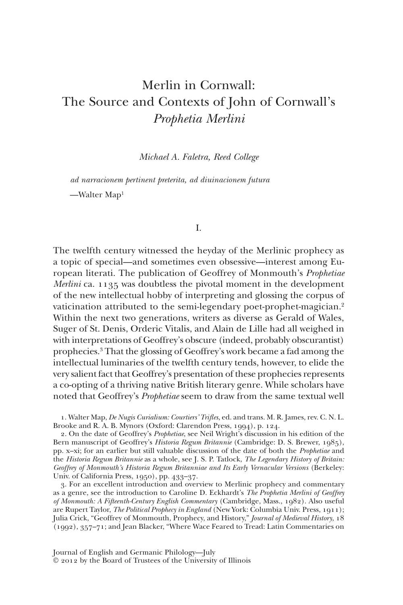### Merlin in Cornwall: The Source and Contexts of John of Cornwall's *Prophetia Merlini*

*Michael A. Faletra, Reed College*

*ad narracionem pertinent preterita, ad diuinacionem futura* —Walter Map1

#### I.

The twelfth century witnessed the heyday of the Merlinic prophecy as a topic of special—and sometimes even obsessive—interest among European literati. The publication of Geoffrey of Monmouth's *Prophetiae Merlini* ca. 1135 was doubtless the pivotal moment in the development of the new intellectual hobby of interpreting and glossing the corpus of vaticination attributed to the semi-legendary poet-prophet-magician.<sup>2</sup> Within the next two generations, writers as diverse as Gerald of Wales, Suger of St. Denis, Orderic Vitalis, and Alain de Lille had all weighed in with interpretations of Geoffrey's obscure (indeed, probably obscurantist) prophecies.3 That the glossing of Geoffrey's work became a fad among the intellectual luminaries of the twelfth century tends, however, to elide the very salient fact that Geoffrey's presentation of these prophecies represents a co-opting of a thriving native British literary genre. While scholars have noted that Geoffrey's *Prophetiae* seem to draw from the same textual well

1. Walter Map, *De Nugis Curialium: Courtiers' Trifles*, ed. and trans. M. R. James, rev. C. N. L. Brooke and R. A. B. Mynors (Oxford: Clarendon Press, 1994), p. 124.

2. On the date of Geoffrey's *Prophetiae*, see Neil Wright's discussion in his edition of the Bern manuscript of Geoffrey's *Historia Regum Britannie* (Cambridge: D. S. Brewer, 1985), pp. x–xi; for an earlier but still valuable discussion of the date of both the *Prophetiae* and the *Historia Regum Britannie* as a whole, see J. S. P. Tatlock, *The Legendary History of Britain: Geoffrey of Monmouth's Historia Regum Britanniae and Its Early Vernacular Versions* (Berkeley: Univ. of California Press, 1950), pp. 433–37.

3. For an excellent introduction and overview to Merlinic prophecy and commentary as a genre, see the introduction to Caroline D. Eckhardt's *The Prophetia Merlini of Geoffrey of Monmouth: A Fifteenth-Century English Commentary* (Cambridge, Mass., 1982). Also useful are Rupert Taylor, *The Political Prophecy in England* (New York: Columbia Univ. Press, 1911); Julia Crick, "Geoffrey of Monmouth, Prophecy, and History," *Journal of Medieval History*, 18 (1992), 357–71; and Jean Blacker, "Where Wace Feared to Tread: Latin Commentaries on

Journal of English and Germanic Philology—July © 2012 by the Board of Trustees of the University of Illinois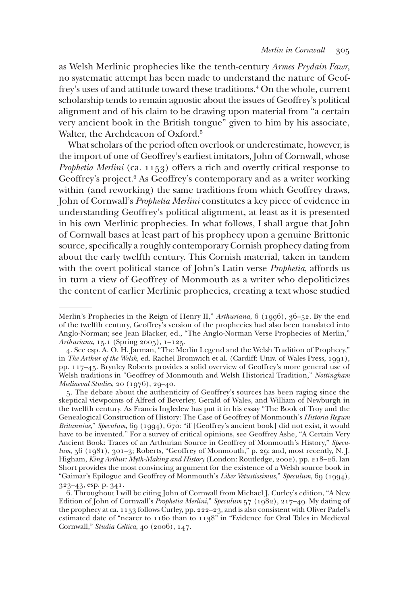as Welsh Merlinic prophecies like the tenth-century *Armes Prydain Fawr*, no systematic attempt has been made to understand the nature of Geoffrey's uses of and attitude toward these traditions.<sup>4</sup> On the whole, current scholarship tends to remain agnostic about the issues of Geoffrey's political alignment and of his claim to be drawing upon material from "a certain very ancient book in the British tongue" given to him by his associate, Walter, the Archdeacon of Oxford.<sup>5</sup>

What scholars of the period often overlook or underestimate, however, is the import of one of Geoffrey's earliest imitators, John of Cornwall, whose *Prophetia Merlini* (ca. 1153) offers a rich and overtly critical response to Geoffrey's project.<sup>6</sup> As Geoffrey's contemporary and as a writer working within (and reworking) the same traditions from which Geoffrey draws, John of Cornwall's *Prophetia Merlini* constitutes a key piece of evidence in understanding Geoffrey's political alignment, at least as it is presented in his own Merlinic prophecies. In what follows, I shall argue that John of Cornwall bases at least part of his prophecy upon a genuine Brittonic source, specifically a roughly contemporary Cornish prophecy dating from about the early twelfth century. This Cornish material, taken in tandem with the overt political stance of John's Latin verse *Prophetia*, affords us in turn a view of Geoffrey of Monmouth as a writer who depoliticizes the content of earlier Merlinic prophecies, creating a text whose studied

Merlin's Prophecies in the Reign of Henry II," *Arthuriana*, 6 (1996), 36–52. By the end of the twelfth century, Geoffrey's version of the prophecies had also been translated into Anglo-Norman; see Jean Blacker, ed., "The Anglo-Norman Verse Prophecies of Merlin," *Arthuriana*, 15.1 (Spring 2005), 1–125.

<sup>4.</sup> See esp. A. O. H. Jarman, "The Merlin Legend and the Welsh Tradition of Prophecy," in *The Arthur of the Welsh*, ed. Rachel Bromwich et al. (Cardiff: Univ. of Wales Press, 1991), pp. 117–45. Brynley Roberts provides a solid overview of Geoffrey's more general use of Welsh traditions in "Geoffrey of Monmouth and Welsh Historical Tradition," *Nottingham Mediaeval Studies*, 20 (1976), 29–40.

<sup>5.</sup> The debate about the authenticity of Geoffrey's sources has been raging since the skeptical viewpoints of Alfred of Beverley, Gerald of Wales, and William of Newburgh in the twelfth century. As Francis Ingledew has put it in his essay "The Book of Troy and the Genealogical Construction of History: The Case of Geoffrey of Monmouth's *Historia Regum Britanniae*," *Speculum*, 69 (1994), 670: "if [Geoffrey's ancient book] did not exist, it would have to be invented." For a survey of critical opinions, see Geoffrey Ashe, "A Certain Very Ancient Book: Traces of an Arthurian Source in Geoffrey of Monmouth's History," *Speculum*, 56 (1981), 301–3; Roberts, "Geoffrey of Monmouth," p. 29; and, most recently, N. J. Higham, *King Arthur: Myth-Making and History* (London: Routledge, 2002), pp. 218–26. Ian Short provides the most convincing argument for the existence of a Welsh source book in "Gaimar's Epilogue and Geoffrey of Monmouth's *Liber Vetustissimus*," *Speculum*, 69 (1994), 323–43, esp. p. 341.

<sup>6.</sup> Throughout I will be citing John of Cornwall from Michael J. Curley's edition, "A New Edition of John of Cornwall's *Prophetia Merlini*," *Speculum* 57 (1982), 217–49. My dating of the prophecy at ca. 1153 follows Curley, pp. 222–23, and is also consistent with Oliver Padel's estimated date of "nearer to 1160 than to 1138" in "Evidence for Oral Tales in Medieval Cornwall," *Studia Celtica*, 40 (2006), 147.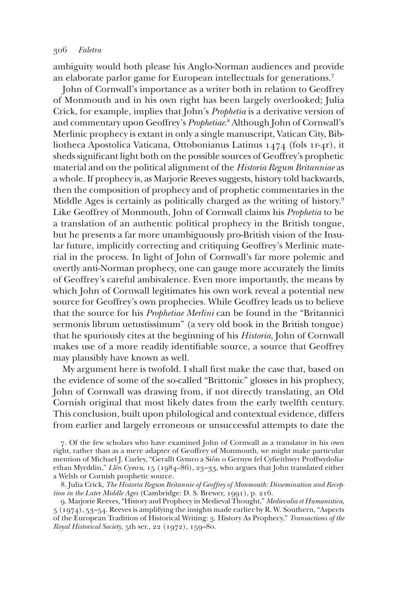ambiguity would both please his Anglo-Norman audiences and provide an elaborate parlor game for European intellectuals for generations.7

John of Cornwall's importance as a writer both in relation to Geoffrey of Monmouth and in his own right has been largely overlooked; Julia Crick, for example, implies that John's *Prophetia* is a derivative version of and commentary upon Geoffrey's *Prophetiae*. 8 Although John of Cornwall's Merlinic prophecy is extant in only a single manuscript, Vatican City, Bibliotheca Apostolica Vaticana, Ottobonianus Latinus 1474 (fols 1r-4r), it sheds significant light both on the possible sources of Geoffrey's prophetic material and on the political alignment of the *Historia Regum Britanniae* as a whole. If prophecy is, as Marjorie Reeves suggests, history told backwards, then the composition of prophecy and of prophetic commentaries in the Middle Ages is certainly as politically charged as the writing of history.<sup>9</sup> Like Geoffrey of Monmouth, John of Cornwall claims his *Prophetia* to be a translation of an authentic political prophecy in the British tongue, but he presents a far more unambiguously pro-British vision of the Insular future, implicitly correcting and critiquing Geoffrey's Merlinic material in the process. In light of John of Cornwall's far more polemic and overtly anti-Norman prophecy, one can gauge more accurately the limits of Geoffrey's careful ambivalence. Even more importantly, the means by which John of Cornwall legitimates his own work reveal a potential new source for Geoffrey's own prophecies. While Geoffrey leads us to believe that the source for his *Prophetiae Merlini* can be found in the "Britannici sermonis librum uetustissimum" (a very old book in the British tongue) that he spuriously cites at the beginning of his *Historia*, John of Cornwall makes use of a more readily identifiable source, a source that Geoffrey may plausibly have known as well.

My argument here is twofold. I shall first make the case that, based on the evidence of some of the so-called "Brittonic" glosses in his prophecy, John of Cornwall was drawing from, if not directly translating, an Old Cornish original that most likely dates from the early twelfth century. This conclusion, built upon philological and contextual evidence, differs from earlier and largely erroneous or unsuccessful attempts to date the

9. Marjorie Reeves, "History and Prophecy in Medieval Thought," *Medievalia et Humanistica*, 5 (1974), 53–54. Reeves is amplifying the insights made earlier by R. W. Southern, "Aspects of the European Tradition of Historical Writing: 3. History As Prophecy," *Transactions of the Royal Historical Society*, 5th ser., 22 (1972), 159–80.

<sup>7.</sup> Of the few scholars who have examined John of Cornwall as a translator in his own right, rather than as a mere adapter of Geoffrey of Monmouth, we might make particular mention of Michael J. Curley, "Gerallt Gymro a Siôn o Gernyw fel Cyfieithwyr Proffwydoliaethau Myrddin," *Llên Cymru*, 15 (1984–86), 23–33, who argues that John translated either a Welsh or Cornish prophetic source.

<sup>8.</sup> Julia Crick, *The Historia Regum Britannie of Geoffrey of Monmouth: Dissemination and Reception in the Later Middle Ages* (Cambridge: D. S. Brewer, 1991), p. 216.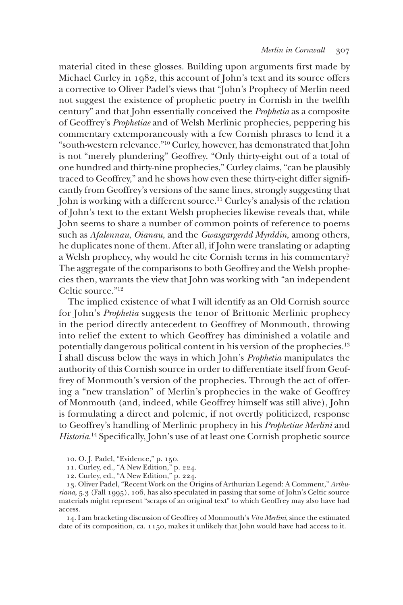material cited in these glosses. Building upon arguments first made by Michael Curley in 1982, this account of John's text and its source offers a corrective to Oliver Padel's views that "John's Prophecy of Merlin need not suggest the existence of prophetic poetry in Cornish in the twelfth century" and that John essentially conceived the *Prophetia* as a composite of Geoffrey's *Prophetiae* and of Welsh Merlinic prophecies, peppering his commentary extemporaneously with a few Cornish phrases to lend it a "south-western relevance."10 Curley, however, has demonstrated that John is not "merely plundering" Geoffrey. "Only thirty-eight out of a total of one hundred and thirty-nine prophecies," Curley claims, "can be plausibly traced to Geoffrey," and he shows how even these thirty-eight differ significantly from Geoffrey's versions of the same lines, strongly suggesting that John is working with a different source.11 Curley's analysis of the relation of John's text to the extant Welsh prophecies likewise reveals that, while John seems to share a number of common points of reference to poems such as *Afalennau*, *Oianau*, and the *Gwasgargerdd Myrddin*, among others, he duplicates none of them. After all, if John were translating or adapting a Welsh prophecy, why would he cite Cornish terms in his commentary? The aggregate of the comparisons to both Geoffrey and the Welsh prophecies then, warrants the view that John was working with "an independent Celtic source."12

The implied existence of what I will identify as an Old Cornish source for John's *Prophetia* suggests the tenor of Brittonic Merlinic prophecy in the period directly antecedent to Geoffrey of Monmouth, throwing into relief the extent to which Geoffrey has diminished a volatile and potentially dangerous political content in his version of the prophecies.13 I shall discuss below the ways in which John's *Prophetia* manipulates the authority of this Cornish source in order to differentiate itself from Geoffrey of Monmouth's version of the prophecies. Through the act of offering a "new translation" of Merlin's prophecies in the wake of Geoffrey of Monmouth (and, indeed, while Geoffrey himself was still alive), John is formulating a direct and polemic, if not overtly politicized, response to Geoffrey's handling of Merlinic prophecy in his *Prophetiae Merlini* and *Historia*. 14 Specifically, John's use of at least one Cornish prophetic source

14. I am bracketing discussion of Geoffrey of Monmouth's *Vita Merlini*, since the estimated date of its composition, ca. 1150, makes it unlikely that John would have had access to it.

<sup>10.</sup> O. J. Padel, "Evidence," p. 150.

<sup>11.</sup> Curley, ed., "A New Edition," p. 224.

<sup>12.</sup> Curley, ed., "A New Edition," p. 224.

<sup>13.</sup> Oliver Padel, "Recent Work on the Origins of Arthurian Legend: A Comment," *Arthuriana*, 5.3 (Fall 1995), 106, has also speculated in passing that some of John's Celtic source materials might represent "scraps of an original text" to which Geoffrey may also have had access.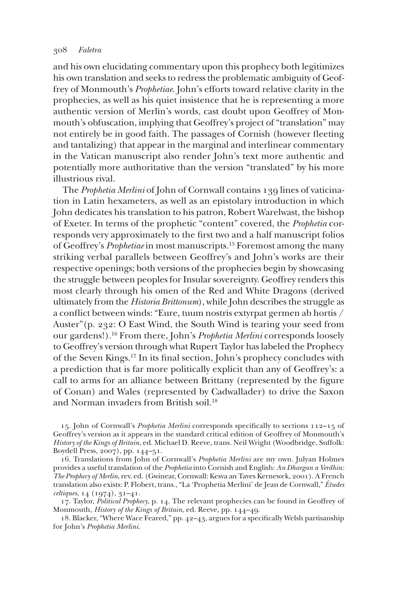and his own elucidating commentary upon this prophecy both legitimizes his own translation and seeks to redress the problematic ambiguity of Geoffrey of Monmouth's *Prophetiae*. John's efforts toward relative clarity in the prophecies, as well as his quiet insistence that he is representing a more authentic version of Merlin's words, cast doubt upon Geoffrey of Monmouth's obfuscation, implying that Geoffrey's project of "translation" may not entirely be in good faith. The passages of Cornish (however fleeting and tantalizing) that appear in the marginal and interlinear commentary in the Vatican manuscript also render John's text more authentic and potentially more authoritative than the version "translated" by his more illustrious rival.

The *Prophetia Merlini* of John of Cornwall contains 139 lines of vaticination in Latin hexameters, as well as an epistolary introduction in which John dedicates his translation to his patron, Robert Warelwast, the bishop of Exeter. In terms of the prophetic "content" covered, the *Prophetia* corresponds very approximately to the first two and a half manuscript folios of Geoffrey's *Prophetiae* in most manuscripts.15 Foremost among the many striking verbal parallels between Geoffrey's and John's works are their respective openings; both versions of the prophecies begin by showcasing the struggle between peoples for Insular sovereignty. Geoffrey renders this most clearly through his omen of the Red and White Dragons (derived ultimately from the *Historia Brittonum*), while John describes the struggle as a conflict between winds: "Eure, tuum nostris extyrpat germen ab hortis / Auster"(p. 232: O East Wind, the South Wind is tearing your seed from our gardens!).16 From there, John's *Prophetia Merlini* corresponds loosely to Geoffrey's version through what Rupert Taylor has labeled the Prophecy of the Seven Kings.17 In its final section, John's prophecy concludes with a prediction that is far more politically explicit than any of Geoffrey's: a call to arms for an alliance between Brittany (represented by the figure of Conan) and Wales (represented by Cadwallader) to drive the Saxon and Norman invaders from British soil.18

15. John of Cornwall's *Prophetia Merlini* corresponds specifically to sections 112–15 of Geoffrey's version as it appears in the standard critical edition of Geoffrey of Monmouth's *History of the Kings of Britain*, ed. Michael D. Reeve, trans. Neil Wright (Woodbridge, Suffolk: Boydell Press, 2007), pp. 144–51.

16. Translations from John of Cornwall's *Prophetia Merlini* are my own. Julyan Holmes provides a useful translation of the *Prophetia* into Cornish and English: *An Dhargan a Verdhin: The Prophecy of Merlin*, rev. ed. (Gwinear, Cornwall: Kesva an Taves Kernewek, 2001). A French translation also exists: P. Flobert, trans., "La 'Prophetia Merlini' de Jean de Cornwall," *Études celtiques*, 14 (1974), 31–41.

17. Taylor, *Political Prophecy*, p. 14. The relevant prophecies can be found in Geoffrey of Monmouth, *History of the Kings of Britain*, ed. Reeve, pp. 144–49.

18. Blacker, "Where Wace Feared," pp. 42–43, argues for a specifically Welsh partisanship for John's *Prophetia Merlini*.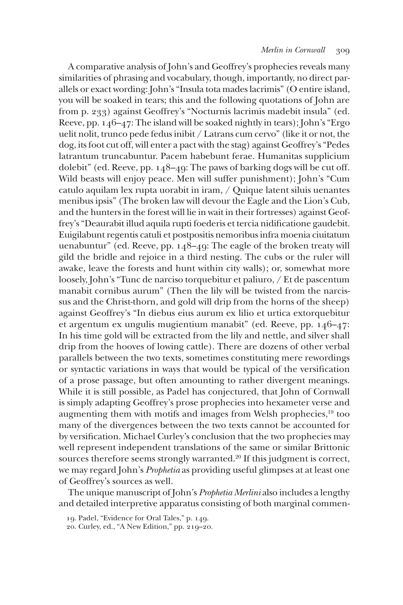A comparative analysis of John's and Geoffrey's prophecies reveals many similarities of phrasing and vocabulary, though, importantly, no direct parallels or exact wording: John's "Insula tota mades lacrimis" (O entire island, you will be soaked in tears; this and the following quotations of John are from p. 233) against Geoffrey's "Nocturnis lacrimis madebit insula" (ed. Reeve, pp. 146–47: The island will be soaked nightly in tears); John's "Ergo uelit nolit, trunco pede fedus inibit / Latrans cum cervo" (like it or not, the dog, its foot cut off, will enter a pact with the stag) against Geoffrey's "Pedes latrantum truncabuntur. Pacem habebunt ferae. Humanitas supplicium dolebit" (ed. Reeve, pp.  $148-49$ : The paws of barking dogs will be cut off. Wild beasts will enjoy peace. Men will suffer punishment); John's "Cum catulo aquilam lex rupta uorabit in iram, / Quique latent siluis uenantes menibus ipsis" (The broken law will devour the Eagle and the Lion's Cub, and the hunters in the forest will lie in wait in their fortresses) against Geoffrey's "Deaurabit illud aquila rupti foederis et tercia nidificatione gaudebit. Euigilabunt regentis catuli et postpositis nemoribus infra moenia ciuitatum uenabuntur" (ed. Reeve, pp. 148–49: The eagle of the broken treaty will gild the bridle and rejoice in a third nesting. The cubs or the ruler will awake, leave the forests and hunt within city walls); or, somewhat more loosely, John's "Tunc de narciso torquebitur et paliuro, / Et de pascentum manabit cornibus aurum" (Then the lily will be twisted from the narcissus and the Christ-thorn, and gold will drip from the horns of the sheep) against Geoffrey's "In diebus eius aurum ex lilio et urtica extorquebitur et argentum ex ungulis mugientium manabit" (ed. Reeve, pp. 146–47: In his time gold will be extracted from the lily and nettle, and silver shall drip from the hooves of lowing cattle). There are dozens of other verbal parallels between the two texts, sometimes constituting mere rewordings or syntactic variations in ways that would be typical of the versification of a prose passage, but often amounting to rather divergent meanings. While it is still possible, as Padel has conjectured, that John of Cornwall is simply adapting Geoffrey's prose prophecies into hexameter verse and augmenting them with motifs and images from Welsh prophecies,19 too many of the divergences between the two texts cannot be accounted for by versification. Michael Curley's conclusion that the two prophecies may well represent independent translations of the same or similar Brittonic sources therefore seems strongly warranted.<sup>20</sup> If this judgment is correct, we may regard John's *Prophetia* as providing useful glimpses at at least one of Geoffrey's sources as well.

The unique manuscript of John's *Prophetia Merlini* also includes a lengthy and detailed interpretive apparatus consisting of both marginal commen-

<sup>19.</sup> Padel, "Evidence for Oral Tales," p. 149.

<sup>20.</sup> Curley, ed., "A New Edition," pp. 219–20.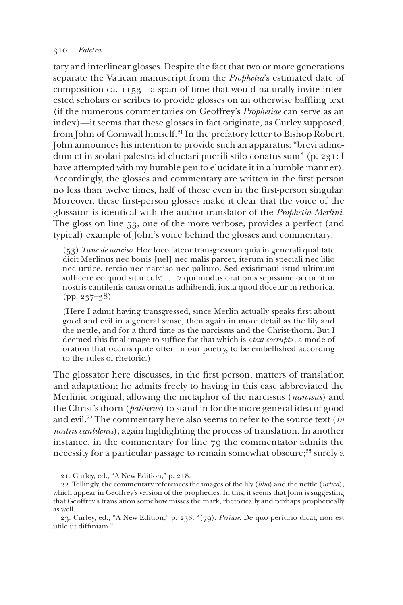tary and interlinear glosses. Despite the fact that two or more generations separate the Vatican manuscript from the *Prophetia*'s estimated date of composition ca. 1153—a span of time that would naturally invite interested scholars or scribes to provide glosses on an otherwise baffling text (if the numerous commentaries on Geoffrey's *Prophetiae* can serve as an index)—it seems that these glosses in fact originate, as Curley supposed, from John of Cornwall himself.21 In the prefatory letter to Bishop Robert, John announces his intention to provide such an apparatus: "brevi admodum et in scolari palestra id eluctari puerili stilo conatus sum" (p. 231: I have attempted with my humble pen to elucidate it in a humble manner). Accordingly, the glosses and commentary are written in the first person no less than twelve times, half of those even in the first-person singular. Moreover, these first-person glosses make it clear that the voice of the glossator is identical with the author-translator of the *Prophetia Merlini*. The gloss on line 53, one of the more verbose, provides a perfect (and typical) example of John's voice behind the glosses and commentary:

(53) *Tunc de narciso*. Hoc loco fateor transgressum quia in generali qualitate dicit Merlinus nec bonis [uel] nec malis parcet, iterum in speciali nec lilio nec urtice, tercio nec narciso nec paliuro. Sed existimaui istud ultimum sufficere eo quod sit incul< . . . > qui modus orationis sepissime occurrit in nostris cantilenis causa ornatus adhibendi, iuxta quod docetur in rethorica. (pp. 237–38)

(Here I admit having transgressed, since Merlin actually speaks first about good and evil in a general sense, then again in more detail as the lily and the nettle, and for a third time as the narcissus and the Christ-thorn. But I deemed this final image to suffice for that which is <*text corrupt*>, a mode of oration that occurs quite often in our poetry, to be embellished according to the rules of rhetoric.)

The glossator here discusses, in the first person, matters of translation and adaptation; he admits freely to having in this case abbreviated the Merlinic original, allowing the metaphor of the narcissus (*narcisus*) and the Christ's thorn (*paliurus*) to stand in for the more general idea of good and evil.22 The commentary here also seems to refer to the source text (*in nostris cantilenis*), again highlighting the process of translation. In another instance, in the commentary for line 79 the commentator admits the necessity for a particular passage to remain somewhat obscure;<sup>23</sup> surely a

21. Curley, ed., "A New Edition," p. 218.

23. Curley, ed., "A New Edition," p. 238: "(79): *Periure*. De quo periurio dicat, non est utile ut diffiniam."

<sup>22.</sup> Tellingly, the commentary references the images of the lily (*lilia*) and the nettle (*urtica*), which appear in Geoffrey's version of the prophecies. In this, it seems that John is suggesting that Geoffrey's translation somehow misses the mark, rhetorically and perhaps prophetically as well.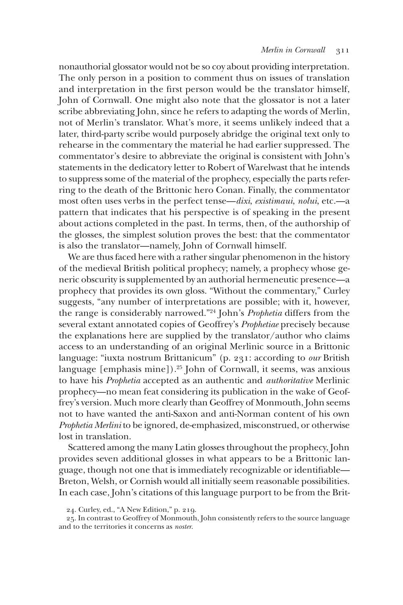nonauthorial glossator would not be so coy about providing interpretation. The only person in a position to comment thus on issues of translation and interpretation in the first person would be the translator himself, John of Cornwall. One might also note that the glossator is not a later scribe abbreviating John, since he refers to adapting the words of Merlin, not of Merlin's translator. What's more, it seems unlikely indeed that a later, third-party scribe would purposely abridge the original text only to rehearse in the commentary the material he had earlier suppressed. The commentator's desire to abbreviate the original is consistent with John's statements in the dedicatory letter to Robert of Warelwast that he intends to suppress some of the material of the prophecy, especially the parts referring to the death of the Brittonic hero Conan. Finally, the commentator most often uses verbs in the perfect tense—*dixi*, *existimaui*, *nolui*, etc.—a pattern that indicates that his perspective is of speaking in the present about actions completed in the past. In terms, then, of the authorship of the glosses, the simplest solution proves the best: that the commentator is also the translator—namely, John of Cornwall himself.

We are thus faced here with a rather singular phenomenon in the history of the medieval British political prophecy; namely, a prophecy whose generic obscurity is supplemented by an authorial hermeneutic presence—a prophecy that provides its own gloss. "Without the commentary," Curley suggests, "any number of interpretations are possible; with it, however, the range is considerably narrowed."24 John's *Prophetia* differs from the several extant annotated copies of Geoffrey's *Prophetiae* precisely because the explanations here are supplied by the translator/author who claims access to an understanding of an original Merlinic source in a Brittonic language: "iuxta nostrum Brittanicum" (p. 231: according to *our* British language  $[emphasis mine]$ ).<sup>25</sup> John of Cornwall, it seems, was anxious to have his *Prophetia* accepted as an authentic and *authoritative* Merlinic prophecy—no mean feat considering its publication in the wake of Geoffrey's version. Much more clearly than Geoffrey of Monmouth, John seems not to have wanted the anti-Saxon and anti-Norman content of his own *Prophetia Merlini* to be ignored, de-emphasized, misconstrued, or otherwise lost in translation.

Scattered among the many Latin glosses throughout the prophecy, John provides seven additional glosses in what appears to be a Brittonic language, though not one that is immediately recognizable or identifiable— Breton, Welsh, or Cornish would all initially seem reasonable possibilities. In each case, John's citations of this language purport to be from the Brit-

<sup>24.</sup> Curley, ed., "A New Edition," p. 219.

<sup>25.</sup> In contrast to Geoffrey of Monmouth, John consistently refers to the source language and to the territories it concerns as *noster*.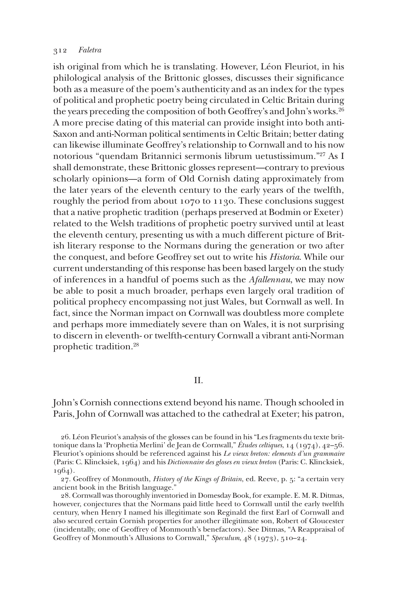ish original from which he is translating. However, Léon Fleuriot, in his philological analysis of the Brittonic glosses, discusses their significance both as a measure of the poem's authenticity and as an index for the types of political and prophetic poetry being circulated in Celtic Britain during the years preceding the composition of both Geoffrey's and John's works.26 A more precise dating of this material can provide insight into both anti-Saxon and anti-Norman political sentiments in Celtic Britain; better dating can likewise illuminate Geoffrey's relationship to Cornwall and to his now notorious "quendam Britannici sermonis librum uetustissimum."27 As I shall demonstrate, these Brittonic glosses represent—contrary to previous scholarly opinions—a form of Old Cornish dating approximately from the later years of the eleventh century to the early years of the twelfth, roughly the period from about 1070 to 1130. These conclusions suggest that a native prophetic tradition (perhaps preserved at Bodmin or Exeter) related to the Welsh traditions of prophetic poetry survived until at least the eleventh century, presenting us with a much different picture of British literary response to the Normans during the generation or two after the conquest, and before Geoffrey set out to write his *Historia*. While our current understanding of this response has been based largely on the study of inferences in a handful of poems such as the *Afallennau*, we may now be able to posit a much broader, perhaps even largely oral tradition of political prophecy encompassing not just Wales, but Cornwall as well. In fact, since the Norman impact on Cornwall was doubtless more complete and perhaps more immediately severe than on Wales, it is not surprising to discern in eleventh- or twelfth-century Cornwall a vibrant anti-Norman prophetic tradition.28

II.

John's Cornish connections extend beyond his name. Though schooled in Paris, John of Cornwall was attached to the cathedral at Exeter; his patron,

26. Léon Fleuriot's analysis of the glosses can be found in his "Les fragments du texte brittonique dans la 'Prophetia Merlini' de Jean de Cornwall," *Études celtiques*, 14 (1974), 42–56. Fleuriot's opinions should be referenced against his *Le vieux breton: elements d'un grammaire* (Paris: C. Klincksiek, 1964) and his *Dictionnaire des gloses en vieux breton* (Paris: C. Klincksiek,  $1964)$ .

27. Geoffrey of Monmouth, *History of the Kings of Britain*, ed. Reeve, p. 5: "a certain very ancient book in the British language."

28. Cornwall was thoroughly inventoried in Domesday Book, for example. E. M. R. Ditmas, however, conjectures that the Normans paid little heed to Cornwall until the early twelfth century, when Henry I named his illegitimate son Reginald the first Earl of Cornwall and also secured certain Cornish properties for another illegitimate son, Robert of Gloucester (incidentally, one of Geoffrey of Monmouth's benefactors). See Ditmas, "A Reappraisal of Geoffrey of Monmouth's Allusions to Cornwall," *Speculum*, 48 (1973), 510–24.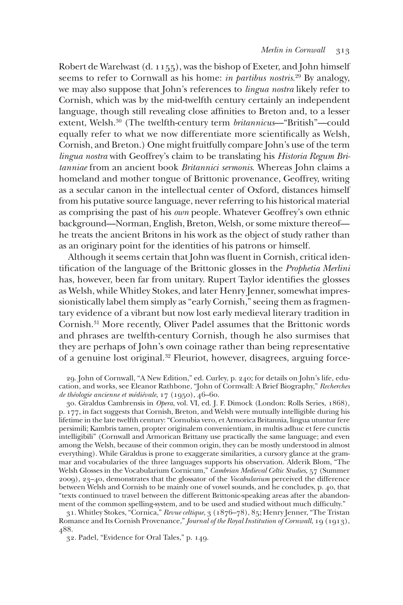Robert de Warelwast (d. 1155), was the bishop of Exeter, and John himself seems to refer to Cornwall as his home: *in partibus nostris*. 29 By analogy, we may also suppose that John's references to *lingua nostra* likely refer to Cornish, which was by the mid-twelfth century certainly an independent language, though still revealing close affinities to Breton and, to a lesser extent, Welsh.30 (The twelfth-century term *britannicus*—"British"—could equally refer to what we now differentiate more scientifically as Welsh, Cornish, and Breton.) One might fruitfully compare John's use of the term *lingua nostra* with Geoffrey's claim to be translating his *Historia Regum Britanniae* from an ancient book *Britannici sermonis*. Whereas John claims a homeland and mother tongue of Brittonic provenance, Geoffrey, writing as a secular canon in the intellectual center of Oxford, distances himself from his putative source language, never referring to his historical material as comprising the past of his *own* people. Whatever Geoffrey's own ethnic background—Norman, English, Breton, Welsh, or some mixture thereof he treats the ancient Britons in his work as the object of study rather than as an originary point for the identities of his patrons or himself.

Although it seems certain that John was fluent in Cornish, critical identification of the language of the Brittonic glosses in the *Prophetia Merlini* has, however, been far from unitary. Rupert Taylor identifies the glosses as Welsh, while Whitley Stokes, and later Henry Jenner, somewhat impressionistically label them simply as "early Cornish," seeing them as fragmentary evidence of a vibrant but now lost early medieval literary tradition in Cornish.31 More recently, Oliver Padel assumes that the Brittonic words and phrases are twelfth-century Cornish, though he also surmises that they are perhaps of John's own coinage rather than being representative of a genuine lost original.<sup>32</sup> Fleuriot, however, disagrees, arguing force-

29. John of Cornwall, "A New Edition," ed. Curley, p. 240; for details on John's life, education, and works, see Eleanor Rathbone, "John of Cornwall: A Brief Biography," *Recherches de théologie ancienne et médiévale*, 17 (1950), 46–60.

30. Giraldus Cambrensis in *Opera*, vol. VI, ed. J. F. Dimock (London: Rolls Series, 1868), p. 177, in fact suggests that Cornish, Breton, and Welsh were mutually intelligible during his lifetime in the late twelfth century: "Cornubia vero, et Armorica Britannia, lingua utuntur fere persimili; Kambris tamen, propter originalem convenientiam, in multis adhuc et fere cunctis intelligibili" (Cornwall and Armorican Brittany use practically the same language; and even among the Welsh, because of their common origin, they can be mostly understood in almost everything). While Giraldus is prone to exaggerate similarities, a cursory glance at the grammar and vocabularies of the three languages supports his observation. Alderik Blom, "The Welsh Glosses in the Vocabularium Cornicum," *Cambrian Medieval Celtic Studies*, 57 (Summer 2009), 23–40, demonstrates that the glossator of the *Vocabularium* perceived the difference between Welsh and Cornish to be mainly one of vowel sounds, and he concludes, p. 40, that "texts continued to travel between the different Brittonic-speaking areas after the abandonment of the common spelling-system, and to be used and studied without much difficulty."

31. Whitley Stokes, "Cornica," *Revue celtique*, 3 (1876–78), 85; Henry Jenner, "The Tristan Romance and Its Cornish Provenance," *Journal of the Royal Institution of Cornwall*, 19 (1913), 488.

32. Padel, "Evidence for Oral Tales," p. 149.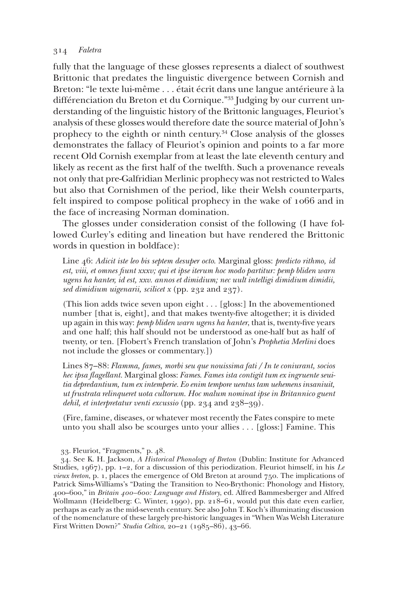#### 314 *Faletra*

fully that the language of these glosses represents a dialect of southwest Brittonic that predates the linguistic divergence between Cornish and Breton: "le texte lui-même . . . était écrit dans une langue antérieure à la différenciation du Breton et du Cornique."<sup>33</sup> Judging by our current understanding of the linguistic history of the Brittonic languages, Fleuriot's analysis of these glosses would therefore date the source material of John's prophecy to the eighth or ninth century.34 Close analysis of the glosses demonstrates the fallacy of Fleuriot's opinion and points to a far more recent Old Cornish exemplar from at least the late eleventh century and likely as recent as the first half of the twelfth. Such a provenance reveals not only that pre-Galfridian Merlinic prophecy was not restricted to Wales but also that Cornishmen of the period, like their Welsh counterparts, felt inspired to compose political prophecy in the wake of 1066 and in the face of increasing Norman domination.

The glosses under consideration consist of the following (I have followed Curley's editing and lineation but have rendered the Brittonic words in question in boldface):

Line 46: *Adicit iste leo bis septem desuper octo*. Marginal gloss: *predicto rithmo, id est, viii, et omnes fiunt xxxv; qui et ipse iterum hoc modo partitur: pemp bliden warn ugens ha hanter, id est, xxv. annos et dimidium; nec uult intelligi dimidium dimidii, sed dimidium uigenarii, scilicet x* (pp. 232 and 237).

(This lion adds twice seven upon eight . . . [gloss:] In the abovementioned number [that is, eight], and that makes twenty-five altogether; it is divided up again in this way: *pemp bliden warn ugens ha hanter*, that is, twenty-five years and one half; this half should not be understood as one-half but as half of twenty, or ten. [Flobert's French translation of John's *Prophetia Merlini* does not include the glosses or commentary.])

Lines 87–88: *Flamma, fames, morbi seu que nouissima fati / In te coniurant, socios hec ipsa flagellant.* Marginal gloss: *Fames*. *Fames ista contigit tum ex ingruente seuitia depredantium, tum ex intemperie. Eo enim tempore uentus tam uehemens insaniuit, ut frustrata relinqueret uota cultorum. Hoc malum nominat ipse in Britannico guent dehil, et interpretatur venti excussio* (pp. 234 and 238–39).

(Fire, famine, diseases, or whatever most recently the Fates conspire to mete unto you shall also be scourges unto your allies . . . [gloss:] Famine. This

33. Fleuriot, "Fragments," p. 48.

34. See K. H. Jackson, *A Historical Phonology of Breton* (Dublin: Institute for Advanced Studies, 1967), pp. 1–2, for a discussion of this periodization. Fleuriot himself, in his *Le vieux breton*, p. 1, places the emergence of Old Breton at around 750. The implications of Patrick Sims-Williams's "Dating the Transition to Neo-Brythonic: Phonology and History, 400–600," in *Britain 400–600: Language and History*, ed. Alfred Bammesberger and Alfred Wollmann (Heidelberg: C. Winter, 1990), pp. 218–61, would put this date even earlier, perhaps as early as the mid-seventh century. See also John T. Koch's illuminating discussion of the nomenclature of these largely pre-historic languages in "When Was Welsh Literature First Written Down?" *Studia Celtica*, 20–21 (1985–86), 43–66.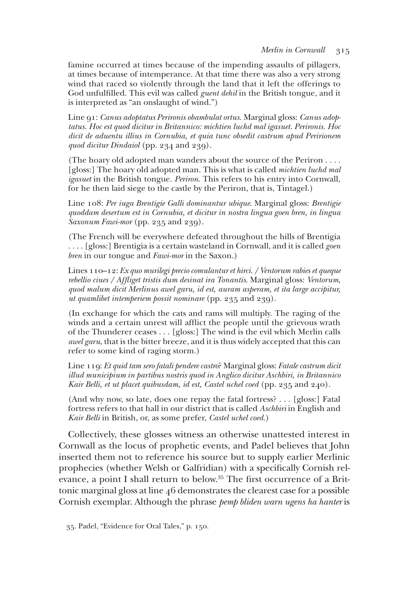famine occurred at times because of the impending assaults of pillagers, at times because of intemperance. At that time there was also a very strong wind that raced so violently through the land that it left the offerings to God unfulfilled. This evil was called *guent dehil* in the British tongue, and it is interpreted as "an onslaught of wind.")

Line 91: *Canus adoptatus Perironis obambulat ortus.* Marginal gloss: *Canus adoptatus. Hoc est quod dicitur in Britannico: michtien luchd mal igasuet. Perironis. Hoc dicit de aduentu illius in Cornubia, et quia tunc obsedit castrum apud Peririonem quod dicitur Dindaiol* (pp. 234 and 239).

(The hoary old adopted man wanders about the source of the Periron . . . . [gloss:] The hoary old adopted man. This is what is called *michtien luchd mal igasuet* in the British tongue. *Periron*. This refers to his entry into Cornwall, for he then laid siege to the castle by the Periron, that is, Tintagel.)

Line 108: *Per iuga Brentigie Galli dominantur ubique*. Marginal gloss: *Brentigie quoddam desertum est in Cornubia, et dicitur in nostra lingua goen bren, in lingua Saxonum Fawi-mor* (pp. 235 and 239).

(The French will be everywhere defeated throughout the hills of Brentigia . . . . [gloss:] Brentigia is a certain wasteland in Cornwall, and it is called *goen bren* in our tongue and *Fawi-mor* in the Saxon.)

Lines 110–12: *Ex quo murilegi precio comulantur et hirci. / Ventorum rabies et queque rebellio ciues / Affliget tristis dum desinat ira Tonantis*. Marginal gloss: *Ventorum*, *quod malum dicit Merlinus awel garu, id est, auram asperam, et ita large accipitur, ut quamlibet intemperiem possit nominare* (pp. 235 and 239).

(In exchange for which the cats and rams will multiply. The raging of the winds and a certain unrest will afflict the people until the grievous wrath of the Thunderer ceases . . . [gloss:] The wind is the evil which Merlin calls *awel garu*, that is the bitter breeze, and it is thus widely accepted that this can refer to some kind of raging storm.)

Line 119: *Et quid tam sero fatali pendere castro*? Marginal gloss: *Fatale castrum dicit illud municipium in partibus nostris quod in Anglico dicitur Aschbiri, in Britannico Kair Belli, et ut placet quibusdam, id est, Castel uchel coed* (pp. 235 and 240).

(And why now, so late, does one repay the fatal fortress? . . . [gloss:] Fatal fortress refers to that hall in our district that is called *Aschbiri* in English and *Kair Belli* in British, or, as some prefer, *Castel uchel coed*.)

Collectively, these glosses witness an otherwise unattested interest in Cornwall as the locus of prophetic events, and Padel believes that John inserted them not to reference his source but to supply earlier Merlinic prophecies (whether Welsh or Galfridian) with a specifically Cornish relevance, a point I shall return to below.<sup>35</sup> The first occurrence of a Brittonic marginal gloss at line 46 demonstrates the clearest case for a possible Cornish exemplar. Although the phrase *pemp bliden warn ugens ha hanter* is

<sup>35.</sup> Padel, "Evidence for Oral Tales," p. 150.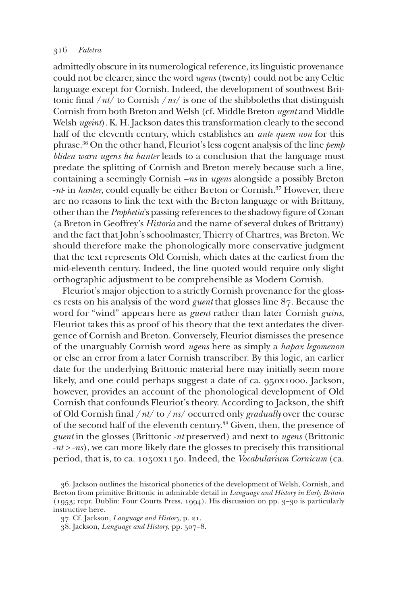admittedly obscure in its numerological reference, its linguistic provenance could not be clearer, since the word *ugens* (twenty) could not be any Celtic language except for Cornish. Indeed, the development of southwest Brittonic final /*nt*/ to Cornish /*ns*/ is one of the shibboleths that distinguish Cornish from both Breton and Welsh (cf. Middle Breton *ugent* and Middle Welsh *ugeint*). K. H. Jackson dates this transformation clearly to the second half of the eleventh century, which establishes an *ante quem non* for this phrase.36 On the other hand, Fleuriot's less cogent analysis of the line *pemp bliden warn ugens ha hanter* leads to a conclusion that the language must predate the splitting of Cornish and Breton merely because such a line, containing a seemingly Cornish –*ns* in *ugens* alongside a possibly Breton -*nt*- in *hanter*, could equally be either Breton or Cornish.37 However, there are no reasons to link the text with the Breton language or with Brittany, other than the *Prophetia*'s passing references to the shadowy figure of Conan (a Breton in Geoffrey's *Historia* and the name of several dukes of Brittany) and the fact that John's schoolmaster, Thierry of Chartres, was Breton. We should therefore make the phonologically more conservative judgment that the text represents Old Cornish, which dates at the earliest from the mid-eleventh century. Indeed, the line quoted would require only slight orthographic adjustment to be comprehensible as Modern Cornish.

Fleuriot's major objection to a strictly Cornish provenance for the glosses rests on his analysis of the word *guent* that glosses line 87. Because the word for "wind" appears here as *guent* rather than later Cornish *guins*, Fleuriot takes this as proof of his theory that the text antedates the divergence of Cornish and Breton. Conversely, Fleuriot dismisses the presence of the unarguably Cornish word *ugens* here as simply a *hapax legomenon* or else an error from a later Cornish transcriber. By this logic, an earlier date for the underlying Brittonic material here may initially seem more likely, and one could perhaps suggest a date of ca. 950x1000. Jackson, however, provides an account of the phonological development of Old Cornish that confounds Fleuriot's theory. According to Jackson, the shift of Old Cornish final /*nt*/ to /*ns*/ occurred only *gradually* over the course of the second half of the eleventh century.38 Given, then, the presence of *guent* in the glosses (Brittonic -*nt* preserved) and next to *ugens* (Brittonic -*nt* > -*ns*), we can more likely date the glosses to precisely this transitional period, that is, to ca. 1050x1150. Indeed, the *Vocabularium Cornicum* (ca.

<sup>36.</sup> Jackson outlines the historical phonetics of the development of Welsh, Cornish, and Breton from primitive Brittonic in admirable detail in *Language and History in Early Britain* (1953; repr. Dublin: Four Courts Press, 1994). His discussion on pp. 3–30 is particularly instructive here.

<sup>37.</sup> Cf. Jackson, *Language and History*, p. 21.

<sup>38.</sup> Jackson, *Language and History*, pp. 507–8.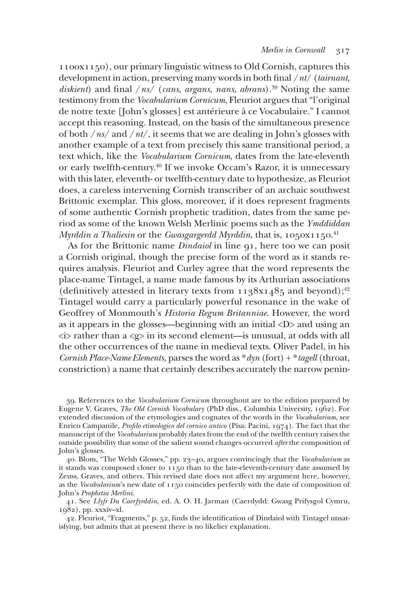1100x1150), our primary linguistic witness to Old Cornish, captures this development in action, preserving many words in both final /*nt*/ (*tairnant*, *diskient*) and final /*ns*/ (*cans*, *argans*, *nans*, *abrans*).39 Noting the same testimony from the *Vocabularium Cornicum*, Fleuriot argues that "l'original de notre texte [John's glosses] est antérieure à ce Vocabulaire." I cannot accept this reasoning. Instead, on the basis of the simultaneous presence of both /*ns*/ and /*nt*/, it seems that we are dealing in John's glosses with another example of a text from precisely this same transitional period, a text which, like the *Vocabularium Cornicum*, dates from the late-eleventh or early twelfth-century.40 If we invoke Occam's Razor, it is unnecessary with this later, eleventh- or twelfth-century date to hypothesize, as Fleuriot does, a careless intervening Cornish transcriber of an archaic southwest Brittonic exemplar. This gloss, moreover, if it does represent fragments of some authentic Cornish prophetic tradition, dates from the same period as some of the known Welsh Merlinic poems such as the *Ymddiddan Myrddin a Thaliesin* or the *Gwasgargerdd Myrddin*, that is, 1050x1150.<sup>41</sup>

As for the Brittonic name *Dindaiol* in line 91, here too we can posit a Cornish original, though the precise form of the word as it stands requires analysis. Fleuriot and Curley agree that the word represents the place-name Tintagel, a name made famous by its Arthurian associations (definitively attested in literary texts from  $1138x1485$  and beyond);<sup>42</sup> Tintagel would carry a particularly powerful resonance in the wake of Geoffrey of Monmouth's *Historia Regum Britanniae*. However, the word as it appears in the glosses—beginning with an initial <D> and using an <i> rather than a <g> in its second element—is unusual, at odds with all the other occurrences of the name in medieval texts. Oliver Padel, in his *Cornish Place-Name Elements*, parses the word as \**dyn* (fort) + \**tagell* (throat, constriction) a name that certainly describes accurately the narrow penin-

39. References to the *Vocabularium Cornicum* throughout are to the edition prepared by Eugene V. Graves, *The Old Cornish Vocabulary* (PhD diss., Columbia University, 1962). For extended discussion of the etymologies and cognates of the words in the *Vocabularium*, see Enrico Campanile, *Profilo etimologico del cornico antico* (Pisa: Pacini, 1974). The fact that the manuscript of the *Vocabularium* probably dates from the end of the twelfth century raises the outside possibility that some of the salient sound changes occurred *after* the composition of John's glosses.

40. Blom, "The Welsh Glosses," pp. 23–40, argues convincingly that the *Vocabularium* as it stands was composed closer to 1150 than to the late-eleventh-century date assumed by Zeuss, Graves, and others. This revised date does not affect my argument here, however, as the *Vocabularium*'s new date of 1150 coincides perfectly with the date of composition of John's *Prophetia Merlini*.

41. See *Llyfr Du Caerfyrddin*, ed. A. O. H. Jarman (Caerdydd: Gwasg Prifysgol Cymru,  $1982)$ , pp. xxxiv-xl.

42. Fleuriot, "Fragments," p. 52, finds the identification of Dindaiol with Tintagel unsatisfying, but admits that at present there is no likelier explanation.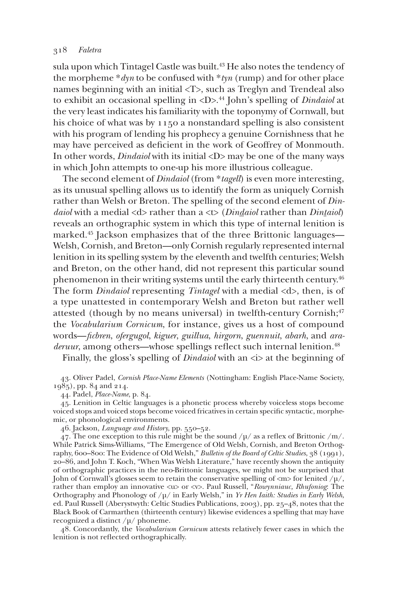sula upon which Tintagel Castle was built.<sup>43</sup> He also notes the tendency of the morpheme \**dyn* to be confused with \**tyn* (rump) and for other place names beginning with an initial <T>, such as Treglyn and Trendeal also to exhibit an occasional spelling in <D>.44 John's spelling of *Dindaiol* at the very least indicates his familiarity with the toponymy of Cornwall, but his choice of what was by 1150 a nonstandard spelling is also consistent with his program of lending his prophecy a genuine Cornishness that he may have perceived as deficient in the work of Geoffrey of Monmouth. In other words, *Dindaiol* with its initial <D> may be one of the many ways in which John attempts to one-up his more illustrious colleague.

The second element of *Dindaiol* (from \**tagell*) is even more interesting, as its unusual spelling allows us to identify the form as uniquely Cornish rather than Welsh or Breton. The spelling of the second element of *Dindaiol* with a medial <d> rather than a <t> (*Dindaiol* rather than *Dintaiol*) reveals an orthographic system in which this type of internal lenition is marked.<sup>45</sup> Jackson emphasizes that of the three Brittonic languages— Welsh, Cornish, and Breton—only Cornish regularly represented internal lenition in its spelling system by the eleventh and twelfth centuries; Welsh and Breton, on the other hand, did not represent this particular sound phenomenon in their writing systems until the early thirteenth century.46 The form *Dindaiol* representing *Tintagel* with a medial <d>, then, is of a type unattested in contemporary Welsh and Breton but rather well attested (though by no means universal) in twelfth-century Cornish;47 the *Vocabularium Cornicum*, for instance, gives us a host of compound words—*ficbren*, *ofergugol*, *kiguer*, *guillua*, *hirgorn*, *guennuit*, *abarh*, and *araderuur*, among others—whose spellings reflect such internal lenition.<sup>48</sup>

Finally, the gloss's spelling of *Dindaiol* with an  $\langle i \rangle$  at the beginning of

43. Oliver Padel, *Cornish Place-Name Elements* (Nottingham: English Place-Name Society, 1985), pp. 84 and 214.

44. Padel, *Place-Name*, p. 84.

45. Lenition in Celtic languages is a phonetic process whereby voiceless stops become voiced stops and voiced stops become voiced fricatives in certain specific syntactic, morphemic, or phonological environments.

46. Jackson, *Language and History*, pp. 550–52.

47. The one exception to this rule might be the sound  $/\mu$  as a reflex of Brittonic /m/. While Patrick Sims-Williams, "The Emergence of Old Welsh, Cornish, and Breton Orthography, 600–800: The Evidence of Old Welsh," *Bulletin of the Board of Celtic Studies*, 38 (1991), 20–86, and John T. Koch, "When Was Welsh Literature," have recently shown the antiquity of orthographic practices in the neo-Brittonic languages, we might not be surprised that John of Cornwall's glosses seem to retain the conservative spelling of  $\langle m \rangle$  for lenited  $/\mu$ , rather than employ an innovative <u> or <v>. Paul Russell, "*Rowynniauc, Rhufoniog*: The Orthography and Phonology of /µ/ in Early Welsh," in *Yr Hen Iaith: Studies in Early Welsh*, ed. Paul Russell (Aberystwyth: Celtic Studies Publications, 2003), pp. 25–48, notes that the Black Book of Carmarthen (thirteenth century) likewise evidences a spelling that may have recognized a distinct  $/\mu$  phoneme.

48. Concordantly, the *Vocabularium Cornicum* attests relatively fewer cases in which the lenition is not reflected orthographically.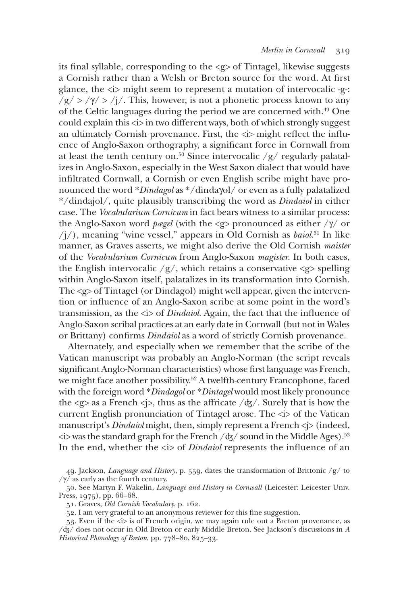its final syllable, corresponding to the <g> of Tintagel, likewise suggests a Cornish rather than a Welsh or Breton source for the word. At first glance, the  $\langle i \rangle$  might seem to represent a mutation of intervocalic -g-:  $/g/$  >  $/\gamma$  >  $/j/$ . This, however, is not a phonetic process known to any of the Celtic languages during the period we are concerned with.49 One could explain this  $\langle i \rangle$  in two different ways, both of which strongly suggest an ultimately Cornish provenance. First, the  $\langle i \rangle$  might reflect the influence of Anglo-Saxon orthography, a significant force in Cornwall from at least the tenth century on.<sup>50</sup> Since intervocalic  $/g/$  regularly palatalizes in Anglo-Saxon, especially in the West Saxon dialect that would have infiltrated Cornwall, a Cornish or even English scribe might have pronounced the word \**Dindagol* as \*/dindaγol/ or even as a fully palatalized \*/dindajol/, quite plausibly transcribing the word as *Dindaiol* in either case. The *Vocabularium Cornicum* in fact bears witness to a similar process: the Anglo-Saxon word *pægel* (with the <g> pronounced as either /g/ or /j/), meaning "wine vessel," appears in Old Cornish as *baiol*. 51 In like manner, as Graves asserts, we might also derive the Old Cornish *maister* of the *Vocabularium Cornicum* from Anglo-Saxon *magister*. In both cases, the English intervocalic  $/g/$ , which retains a conservative  $\langle g \rangle$  spelling within Anglo-Saxon itself, palatalizes in its transformation into Cornish. The <g> of Tintagel (or Dindagol) might well appear, given the intervention or influence of an Anglo-Saxon scribe at some point in the word's transmission, as the  $\langle i \rangle$  of *Dindaiol*. Again, the fact that the influence of Anglo-Saxon scribal practices at an early date in Cornwall (but not in Wales or Brittany) confirms *Dindaiol* as a word of strictly Cornish provenance.

Alternately, and especially when we remember that the scribe of the Vatican manuscript was probably an Anglo-Norman (the script reveals significant Anglo-Norman characteristics) whose first language was French, we might face another possibility.<sup>52</sup> A twelfth-century Francophone, faced with the foreign word \**Dindagol* or \**Dintagel* would most likely pronounce the  $\langle \psi \rangle$  as a French  $\langle \psi \rangle$ , thus as the affricate  $\langle \psi \rangle$ . Surely that is how the current English pronunciation of Tintagel arose. The  $\langle i \rangle$  of the Vatican manuscript's *Dindaiol* might, then, simply represent a French <j> (indeed, <i> was the standard graph for the French /ʤ/ sound in the Middle Ages).53 In the end, whether the  $\langle i \rangle$  of *Dindaiol* represents the influence of an

51. Graves, *Old Cornish Vocabulary*, p. 162.

52. I am very grateful to an anonymous reviewer for this fine suggestion.

<sup>49.</sup> Jackson, *Language and History*, p. 559, dates the transformation of Brittonic /g/ to  $/\gamma$  as early as the fourth century.

<sup>50.</sup> See Martyn F. Wakelin, *Language and History in Cornwall* (Leicester: Leicester Univ. Press, 1975), pp. 66–68.

<sup>53.</sup> Even if the <i> is of French origin, we may again rule out a Breton provenance, as /ʤ/ does not occur in Old Breton or early Middle Breton. See Jackson's discussions in *A Historical Phonology of Breton*, pp. 778–80, 825–33.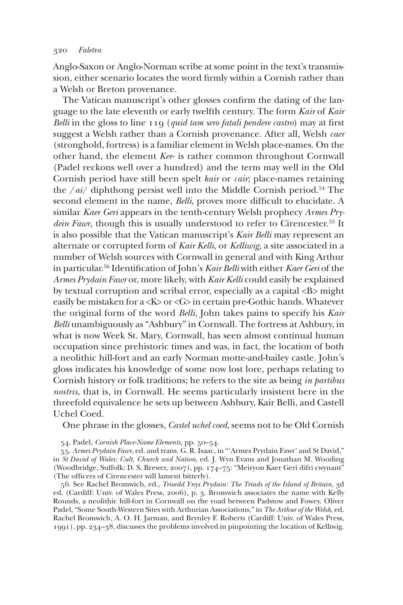#### 320 *Faletra*

Anglo-Saxon or Anglo-Norman scribe at some point in the text's transmission, either scenario locates the word firmly within a Cornish rather than a Welsh or Breton provenance.

The Vatican manuscript's other glosses confirm the dating of the language to the late eleventh or early twelfth century. The form *Kair* of *Kair Belli* in the gloss to line 119 (*quid tam sero fatali pendere castro*) may at first suggest a Welsh rather than a Cornish provenance. After all, Welsh *caer* (stronghold, fortress) is a familiar element in Welsh place-names. On the other hand, the element *Ker*- is rather common throughout Cornwall (Padel reckons well over a hundred) and the term may well in the Old Cornish period have still been spelt *kair* or *cair*; place-names retaining the  $/ai/$  diphthong persist well into the Middle Cornish period.<sup>54</sup> The second element in the name, *Belli*, proves more difficult to elucidate. A similar *Kaer Geri* appears in the tenth-century Welsh prophecy *Armes Prydein Fawr*, though this is usually understood to refer to Cirencester.<sup>55</sup> It is also possible that the Vatican manuscript's *Kair Belli* may represent an alternate or corrupted form of *Kair Kelli*, or *Kelliwig*, a site associated in a number of Welsh sources with Cornwall in general and with King Arthur in particular.56 Identification of John's *Kair Belli* with either *Kaer Geri* of the *Armes Prydain Fawr* or, more likely, with *Kair Kelli* could easily be explained by textual corruption and scribal error, especially as a capital <B> might easily be mistaken for a  $\langle K \rangle$  or  $\langle G \rangle$  in certain pre-Gothic hands. Whatever the original form of the word *Belli*, John takes pains to specify his *Kair Belli* unambiguously as "Ashbury" in Cornwall. The fortress at Ashbury, in what is now Week St. Mary, Cornwall, has seen almost continual human occupation since prehistoric times and was, in fact, the location of both a neolithic hill-fort and an early Norman motte-and-bailey castle. John's gloss indicates his knowledge of some now lost lore, perhaps relating to Cornish history or folk traditions; he refers to the site as being *in partibus nostris*, that is, in Cornwall. He seems particularly insistent here in the threefold equivalence he sets up between Ashbury, Kair Belli, and Castell Uchel Coed.

One phrase in the glosses, *Castel uchel coed*, seems not to be Old Cornish

55. *Armes Prydain Fawr*, ed. and trans. G. R. Isaac, in "'Armes Prydain Fawr' and St David," in *St David of Wales: Cult, Church and Nation*, ed. J. Wyn Evans and Jonathan M. Wooding (Woodbridge, Suffolk: D. S. Brewer, 2007), pp. 174–75: "Meiryon Kaer Geri difri cwynant" (The officers of Cirencester will lament bitterly).

56. See Rachel Bromwich, ed., *Trioedd Ynys Prydain: The Triads of the Island of Britain*, 3d ed. (Cardiff: Univ. of Wales Press, 2006), p. 3. Bromwich associates the name with Kelly Rounds, a neolithic hill-fort in Cornwall on the road between Padstow and Fowey. Oliver Padel, "Some South-Western Sites with Arthurian Associations," in *The Arthur of the Welsh*, ed. Rachel Bromwich, A. O. H. Jarman, and Brynley F. Roberts (Cardiff: Univ. of Wales Press, 1991), pp. 234–38, discusses the problems involved in pinpointing the location of Kelliwig.

<sup>54.</sup> Padel, *Cornish Place-Name Elements*, pp. 50–54.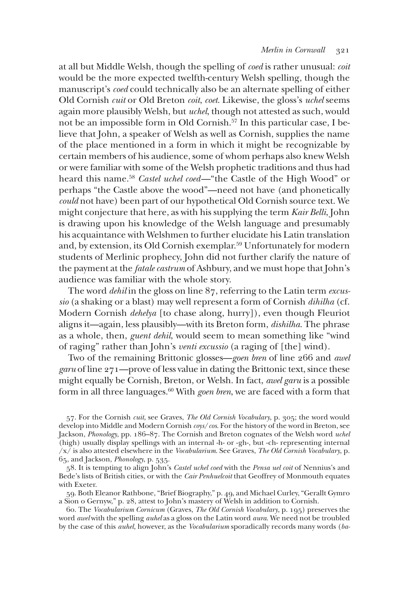at all but Middle Welsh, though the spelling of *coed* is rather unusual: *coit* would be the more expected twelfth-century Welsh spelling, though the manuscript's *coed* could technically also be an alternate spelling of either Old Cornish *cuit* or Old Breton *coit*, *coet*. Likewise, the gloss's *uchel* seems again more plausibly Welsh, but *uchel*, though not attested as such, would not be an impossible form in Old Cornish.<sup>57</sup> In this particular case, I believe that John, a speaker of Welsh as well as Cornish, supplies the name of the place mentioned in a form in which it might be recognizable by certain members of his audience, some of whom perhaps also knew Welsh or were familiar with some of the Welsh prophetic traditions and thus had heard this name.58 *Castel uchel coed*—"the Castle of the High Wood" or perhaps "the Castle above the wood"—need not have (and phonetically *could* not have) been part of our hypothetical Old Cornish source text. We might conjecture that here, as with his supplying the term *Kair Belli*, John is drawing upon his knowledge of the Welsh language and presumably his acquaintance with Welshmen to further elucidate his Latin translation and, by extension, its Old Cornish exemplar.59 Unfortunately for modern students of Merlinic prophecy, John did not further clarify the nature of the payment at the *fatale castrum* of Ashbury, and we must hope that John's audience was familiar with the whole story.

The word *dehil* in the gloss on line 87, referring to the Latin term *excussio* (a shaking or a blast) may well represent a form of Cornish *dihilha* (cf. Modern Cornish *dehelya* [to chase along, hurry]), even though Fleuriot aligns it—again, less plausibly—with its Breton form, *dishilha*. The phrase as a whole, then, *guent dehil*, would seem to mean something like "wind of raging" rather than John's *venti excussio* (a raging of [the] wind).

Two of the remaining Brittonic glosses—*goen bren* of line 266 and *awel garu* of line 271—prove of less value in dating the Brittonic text, since these might equally be Cornish, Breton, or Welsh. In fact, *awel garu* is a possible form in all three languages.60 With *goen bren*, we are faced with a form that

57. For the Cornish *cuit*, see Graves, *The Old Cornish Vocabulary*, p. 305; the word would develop into Middle and Modern Cornish *coys*/*cos*. For the history of the word in Breton, see Jackson, *Phonology*, pp. 186–87. The Cornish and Breton cognates of the Welsh word *uchel* (high) usually display spellings with an internal -h- or -gh-, but -ch- representing internal /x/ is also attested elsewhere in the *Vocabularium*. See Graves, *The Old Cornish Vocabulary*, p. 65, and Jackson, *Phonology*, p. 535.

58. It is tempting to align John's *Castel uchel coed* with the *Pensa uel coit* of Nennius's and Bede's lists of British cities, or with the *Cair Penhuelcoit* that Geoffrey of Monmouth equates with Exeter.

59. Both Eleanor Rathbone, "Brief Biography," p. 49, and Michael Curley, "Gerallt Gymro a Sion o Gernyw," p. 28, attest to John's mastery of Welsh in addition to Cornish.

60. The *Vocabularium Cornicum* (Graves, *The Old Cornish Vocabulary*, p. 195) preserves the word *awel* with the spelling *auhel* as a gloss on the Latin word *aura*. We need not be troubled by the case of this *auhel*, however, as the *Vocabularium* sporadically records many words (*ba-*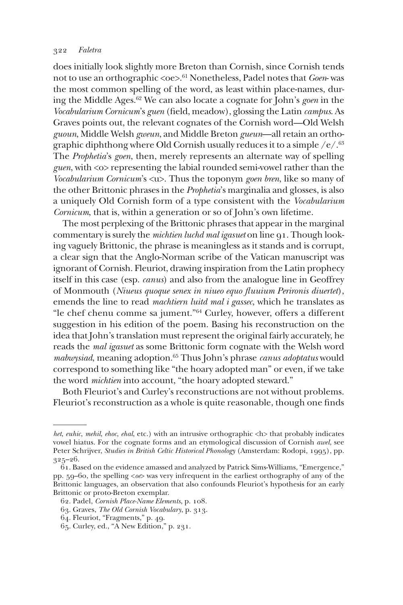#### 322 *Faletra*

does initially look slightly more Breton than Cornish, since Cornish tends not to use an orthographic <oe>.61 Nonetheless, Padel notes that *Goen*- was the most common spelling of the word, as least within place-names, during the Middle Ages.62 We can also locate a cognate for John's *goen* in the *Vocabularium Cornicum*'s *guen* (field, meadow), glossing the Latin *campus*. As Graves points out, the relevant cognates of the Cornish word—Old Welsh *guoun*, Middle Welsh *gweun*, and Middle Breton *gueun*—all retain an orthographic diphthong where Old Cornish usually reduces it to a simple  $/e/0.63$ The *Prophetia*'s *goen*, then, merely represents an alternate way of spelling *guen*, with <o> representing the labial rounded semi-vowel rather than the *Vocabularium Cornicum's*  $\langle u \rangle$ . Thus the toponym *goen bren*, like so many of the other Brittonic phrases in the *Prophetia*'s marginalia and glosses, is also a uniquely Old Cornish form of a type consistent with the *Vocabularium Cornicum*, that is, within a generation or so of John's own lifetime.

The most perplexing of the Brittonic phrases that appear in the marginal commentary is surely the *michtien luchd mal igasuet* on line 91. Though looking vaguely Brittonic, the phrase is meaningless as it stands and is corrupt, a clear sign that the Anglo-Norman scribe of the Vatican manuscript was ignorant of Cornish. Fleuriot, drawing inspiration from the Latin prophecy itself in this case (esp. *canus*) and also from the analogue line in Geoffrey of Monmouth (*Niueus quoque senex in niueo equo fluuium Perironis diuertet*), emends the line to read *machtiern luitd mal i gassec*, which he translates as "le chef chenu comme sa jument."64 Curley, however, offers a different suggestion in his edition of the poem. Basing his reconstruction on the idea that John's translation must represent the original fairly accurately, he reads the *mal igasuet* as some Brittonic form cognate with the Welsh word *mabwysiad*, meaning adoption.65 Thus John's phrase *canus adoptatus* would correspond to something like "the hoary adopted man" or even, if we take the word *michtien* into account, "the hoary adopted steward."

Both Fleuriot's and Curley's reconstructions are not without problems. Fleuriot's reconstruction as a whole is quite reasonable, though one finds

*het*, *euhic*, *mehil*, *ehoc*, *ehal*, etc.) with an intrusive orthographic <h> that probably indicates vowel hiatus. For the cognate forms and an etymological discussion of Cornish *awel*, see Peter Schrijver, *Studies in British Celtic Historical Phonology* (Amsterdam: Rodopi, 1995), pp.  $325 - 26.$ 

<sup>61.</sup> Based on the evidence amassed and analyzed by Patrick Sims-Williams, "Emergence," pp. 59–60, the spelling <*oe*> was very infrequent in the earliest orthography of any of the Brittonic languages, an observation that also confounds Fleuriot's hypothesis for an early Brittonic or proto-Breton exemplar.

<sup>62.</sup> Padel, *Cornish Place-Name Elements*, p. 108.

<sup>63.</sup> Graves, *The Old Cornish Vocabulary*, p. 313.

<sup>64.</sup> Fleuriot, "Fragments," p. 49.

<sup>65.</sup> Curley, ed., "A New Edition," p. 231.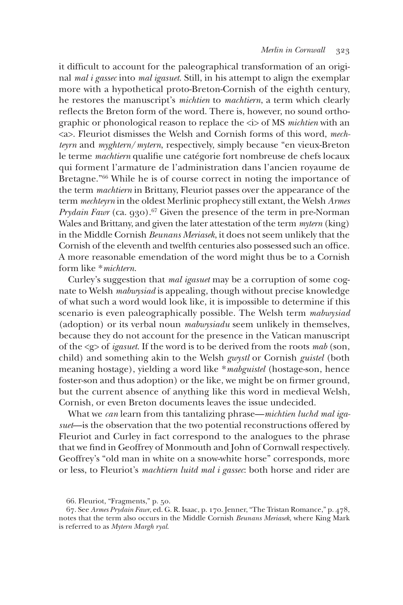it difficult to account for the paleographical transformation of an original *mal i gassec* into *mal igasuet*. Still, in his attempt to align the exemplar more with a hypothetical proto-Breton-Cornish of the eighth century, he restores the manuscript's *michtien* to *machtiern*, a term which clearly reflects the Breton form of the word. There is, however, no sound orthographic or phonological reason to replace the <i> of MS *michtien* with an <a>. Fleuriot dismisses the Welsh and Cornish forms of this word, *mechteyrn* and *myghtern*/*mytern*, respectively, simply because "en vieux-Breton le terme *machtiern* qualifie une catégorie fort nombreuse de chefs locaux qui forment l'armature de l'administration dans l'ancien royaume de Bretagne."66 While he is of course correct in noting the importance of the term *machtiern* in Brittany, Fleuriot passes over the appearance of the term *mechteyrn* in the oldest Merlinic prophecy still extant, the Welsh *Armes Prydain Fawr* (ca. 930).<sup>67</sup> Given the presence of the term in pre-Norman Wales and Brittany, and given the later attestation of the term *mytern* (king) in the Middle Cornish *Beunans Meriasek*, it does not seem unlikely that the Cornish of the eleventh and twelfth centuries also possessed such an office. A more reasonable emendation of the word might thus be to a Cornish form like \**michtern*.

Curley's suggestion that *mal igasuet* may be a corruption of some cognate to Welsh *mabwysiad* is appealing, though without precise knowledge of what such a word would look like, it is impossible to determine if this scenario is even paleographically possible. The Welsh term *mabwysiad* (adoption) or its verbal noun *mabwysiadu* seem unlikely in themselves, because they do not account for the presence in the Vatican manuscript of the <g> of *igasuet*. If the word is to be derived from the roots *mab* (son, child) and something akin to the Welsh *gwystl* or Cornish *guistel* (both meaning hostage), yielding a word like \**mabguistel* (hostage-son, hence foster-son and thus adoption) or the like, we might be on firmer ground, but the current absence of anything like this word in medieval Welsh, Cornish, or even Breton documents leaves the issue undecided.

What we *can* learn from this tantalizing phrase—*michtien luchd mal igasuet*—is the observation that the two potential reconstructions offered by Fleuriot and Curley in fact correspond to the analogues to the phrase that we find in Geoffrey of Monmouth and John of Cornwall respectively. Geoffrey's "old man in white on a snow-white horse" corresponds, more or less, to Fleuriot's *machtiern luitd mal i gassec*: both horse and rider are

<sup>66.</sup> Fleuriot, "Fragments," p. 50.

<sup>67.</sup> See *Armes Prydain Fawr*, ed. G. R. Isaac, p. 170. Jenner, "The Tristan Romance," p. 478, notes that the term also occurs in the Middle Cornish *Beunans Meriasek*, where King Mark is referred to as *Mytern Margh ryal*.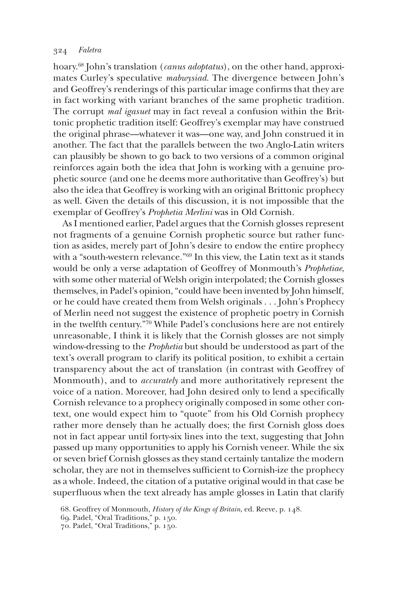hoary.68 John's translation (*canus adoptatus*), on the other hand, approximates Curley's speculative *mabwysiad*. The divergence between John's and Geoffrey's renderings of this particular image confirms that they are in fact working with variant branches of the same prophetic tradition. The corrupt *mal igasuet* may in fact reveal a confusion within the Brittonic prophetic tradition itself: Geoffrey's exemplar may have construed the original phrase—whatever it was—one way, and John construed it in another. The fact that the parallels between the two Anglo-Latin writers can plausibly be shown to go back to two versions of a common original reinforces again both the idea that John is working with a genuine prophetic source (and one he deems more authoritative than Geoffrey's) but also the idea that Geoffrey is working with an original Brittonic prophecy as well. Given the details of this discussion, it is not impossible that the exemplar of Geoffrey's *Prophetia Merlini* was in Old Cornish.

As I mentioned earlier, Padel argues that the Cornish glosses represent not fragments of a genuine Cornish prophetic source but rather function as asides, merely part of John's desire to endow the entire prophecy with a "south-western relevance."69 In this view, the Latin text as it stands would be only a verse adaptation of Geoffrey of Monmouth's *Prophetiae*, with some other material of Welsh origin interpolated; the Cornish glosses themselves, in Padel's opinion, "could have been invented by John himself, or he could have created them from Welsh originals . . . John's Prophecy of Merlin need not suggest the existence of prophetic poetry in Cornish in the twelfth century."70 While Padel's conclusions here are not entirely unreasonable, I think it is likely that the Cornish glosses are not simply window-dressing to the *Prophetia* but should be understood as part of the text's overall program to clarify its political position, to exhibit a certain transparency about the act of translation (in contrast with Geoffrey of Monmouth), and to *accurately* and more authoritatively represent the voice of a nation. Moreover, had John desired only to lend a specifically Cornish relevance to a prophecy originally composed in some other context, one would expect him to "quote" from his Old Cornish prophecy rather more densely than he actually does; the first Cornish gloss does not in fact appear until forty-six lines into the text, suggesting that John passed up many opportunities to apply his Cornish veneer. While the six or seven brief Cornish glosses as they stand certainly tantalize the modern scholar, they are not in themselves sufficient to Cornish-ize the prophecy as a whole. Indeed, the citation of a putative original would in that case be superfluous when the text already has ample glosses in Latin that clarify

<sup>68.</sup> Geoffrey of Monmouth, *History of the Kings of Britain*, ed. Reeve, p. 148.

<sup>69.</sup> Padel, "Oral Traditions," p. 150.

<sup>70.</sup> Padel, "Oral Traditions," p. 150.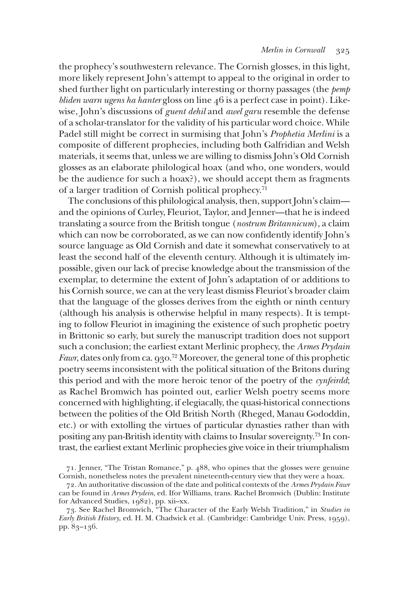the prophecy's southwestern relevance. The Cornish glosses, in this light, more likely represent John's attempt to appeal to the original in order to shed further light on particularly interesting or thorny passages (the *pemp bliden warn ugens ha hanter* gloss on line 46 is a perfect case in point). Likewise, John's discussions of *guent dehil* and *awel garu* resemble the defense of a scholar-translator for the validity of his particular word choice. While Padel still might be correct in surmising that John's *Prophetia Merlini* is a composite of different prophecies, including both Galfridian and Welsh materials, it seems that, unless we are willing to dismiss John's Old Cornish glosses as an elaborate philological hoax (and who, one wonders, would be the audience for such a hoax?), we should accept them as fragments of a larger tradition of Cornish political prophecy.<sup>71</sup>

The conclusions of this philological analysis, then, support John's claim and the opinions of Curley, Fleuriot, Taylor, and Jenner—that he is indeed translating a source from the British tongue (*nostrum Britannicum*), a claim which can now be corroborated, as we can now confidently identify John's source language as Old Cornish and date it somewhat conservatively to at least the second half of the eleventh century. Although it is ultimately impossible, given our lack of precise knowledge about the transmission of the exemplar, to determine the extent of John's adaptation of or additions to his Cornish source, we can at the very least dismiss Fleuriot's broader claim that the language of the glosses derives from the eighth or ninth century (although his analysis is otherwise helpful in many respects). It is tempting to follow Fleuriot in imagining the existence of such prophetic poetry in Brittonic so early, but surely the manuscript tradition does not support such a conclusion; the earliest extant Merlinic prophecy, the *Armes Prydain Fawr*, dates only from ca. 930.<sup>72</sup> Moreover, the general tone of this prophetic poetry seems inconsistent with the political situation of the Britons during this period and with the more heroic tenor of the poetry of the *cynfeirdd*; as Rachel Bromwich has pointed out, earlier Welsh poetry seems more concerned with highlighting, if elegiacally, the quasi-historical connections between the polities of the Old British North (Rheged, Manau Gododdin, etc.) or with extolling the virtues of particular dynasties rather than with positing any pan-British identity with claims to Insular sovereignty.73 In contrast, the earliest extant Merlinic prophecies give voice in their triumphalism

71. Jenner, "The Tristan Romance," p. 488, who opines that the glosses were genuine Cornish, nonetheless notes the prevalent nineteenth-century view that they were a hoax.

<sup>72.</sup> An authoritative discussion of the date and political contexts of the *Armes Prydain Fawr* can be found in *Armes Prydein*, ed. Ifor Williams, trans. Rachel Bromwich (Dublin: Institute for Advanced Studies, 1982), pp. xii–xx.

<sup>73.</sup> See Rachel Bromwich, "The Character of the Early Welsh Tradition," in *Studies in Early British History*, ed. H. M. Chadwick et al. (Cambridge: Cambridge Univ. Press, 1959), pp. 83–136.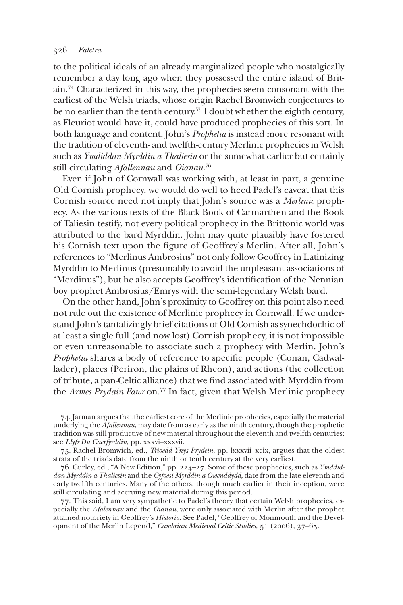to the political ideals of an already marginalized people who nostalgically remember a day long ago when they possessed the entire island of Britain.74 Characterized in this way, the prophecies seem consonant with the earliest of the Welsh triads, whose origin Rachel Bromwich conjectures to be no earlier than the tenth century.75 I doubt whether the eighth century, as Fleuriot would have it, could have produced prophecies of this sort. In both language and content, John's *Prophetia* is instead more resonant with the tradition of eleventh- and twelfth-century Merlinic prophecies in Welsh such as *Ymdiddan Myrddin a Thaliesin* or the somewhat earlier but certainly still circulating *Afallennau* and *Oianau*. 76

Even if John of Cornwall was working with, at least in part, a genuine Old Cornish prophecy, we would do well to heed Padel's caveat that this Cornish source need not imply that John's source was a *Merlinic* prophecy. As the various texts of the Black Book of Carmarthen and the Book of Taliesin testify, not every political prophecy in the Brittonic world was attributed to the bard Myrddin. John may quite plausibly have fostered his Cornish text upon the figure of Geoffrey's Merlin. After all, John's references to "Merlinus Ambrosius" not only follow Geoffrey in Latinizing Myrddin to Merlinus (presumably to avoid the unpleasant associations of "Merdinus"), but he also accepts Geoffrey's identification of the Nennian boy prophet Ambrosius/Emrys with the semi-legendary Welsh bard.

On the other hand, John's proximity to Geoffrey on this point also need not rule out the existence of Merlinic prophecy in Cornwall. If we understand John's tantalizingly brief citations of Old Cornish as synechdochic of at least a single full (and now lost) Cornish prophecy, it is not impossible or even unreasonable to associate such a prophecy with Merlin. John's *Prophetia* shares a body of reference to specific people (Conan, Cadwallader), places (Periron, the plains of Rheon), and actions (the collection of tribute, a pan-Celtic alliance) that we find associated with Myrddin from the *Armes Prydain Fawr* on.77 In fact, given that Welsh Merlinic prophecy

74. Jarman argues that the earliest core of the Merlinic prophecies, especially the material underlying the *Afallennau*, may date from as early as the ninth century, though the prophetic tradition was still productive of new material throughout the eleventh and twelfth centuries; see *Llyfr Du Caerfyrddin*, pp. xxxvi–xxxvii.

75. Rachel Bromwich, ed., *Trioedd Ynys Prydein*, pp. lxxxvii–xcix, argues that the oldest strata of the triads date from the ninth or tenth century at the very earliest.

76. Curley, ed., "A New Edition," pp. 224–27. Some of these prophecies, such as *Ymddiddan Myrddin a Thaliesin* and the *Cyfoesi Myrddin a Gwenddydd*, date from the late eleventh and early twelfth centuries. Many of the others, though much earlier in their inception, were still circulating and accruing new material during this period.

77. This said, I am very sympathetic to Padel's theory that certain Welsh prophecies, especially the *Afalennau* and the *Oianau*, were only associated with Merlin after the prophet attained notoriety in Geoffrey's *Historia*. See Padel, "Geoffrey of Monmouth and the Development of the Merlin Legend," *Cambrian Medieval Celtic Studies*, 51 (2006), 37–65.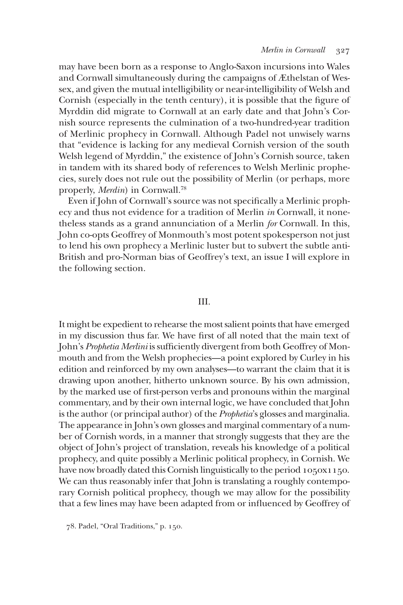may have been born as a response to Anglo-Saxon incursions into Wales and Cornwall simultaneously during the campaigns of Æthelstan of Wessex, and given the mutual intelligibility or near-intelligibility of Welsh and Cornish (especially in the tenth century), it is possible that the figure of Myrddin did migrate to Cornwall at an early date and that John's Cornish source represents the culmination of a two-hundred-year tradition of Merlinic prophecy in Cornwall. Although Padel not unwisely warns that "evidence is lacking for any medieval Cornish version of the south Welsh legend of Myrddin," the existence of John's Cornish source, taken in tandem with its shared body of references to Welsh Merlinic prophecies, surely does not rule out the possibility of Merlin (or perhaps, more properly, *Merdin*) in Cornwall.78

Even if John of Cornwall's source was not specifically a Merlinic prophecy and thus not evidence for a tradition of Merlin *in* Cornwall, it nonetheless stands as a grand annunciation of a Merlin *for* Cornwall. In this, John co-opts Geoffrey of Monmouth's most potent spokesperson not just to lend his own prophecy a Merlinic luster but to subvert the subtle anti-British and pro-Norman bias of Geoffrey's text, an issue I will explore in the following section.

#### III.

It might be expedient to rehearse the most salient points that have emerged in my discussion thus far. We have first of all noted that the main text of John's *Prophetia Merlini* is sufficiently divergent from both Geoffrey of Monmouth and from the Welsh prophecies—a point explored by Curley in his edition and reinforced by my own analyses—to warrant the claim that it is drawing upon another, hitherto unknown source. By his own admission, by the marked use of first-person verbs and pronouns within the marginal commentary, and by their own internal logic, we have concluded that John is the author (or principal author) of the *Prophetia*'s glosses and marginalia. The appearance in John's own glosses and marginal commentary of a number of Cornish words, in a manner that strongly suggests that they are the object of John's project of translation, reveals his knowledge of a political prophecy, and quite possibly a Merlinic political prophecy, in Cornish. We have now broadly dated this Cornish linguistically to the period 1050x1150. We can thus reasonably infer that John is translating a roughly contemporary Cornish political prophecy, though we may allow for the possibility that a few lines may have been adapted from or influenced by Geoffrey of

<sup>78.</sup> Padel, "Oral Traditions," p. 150.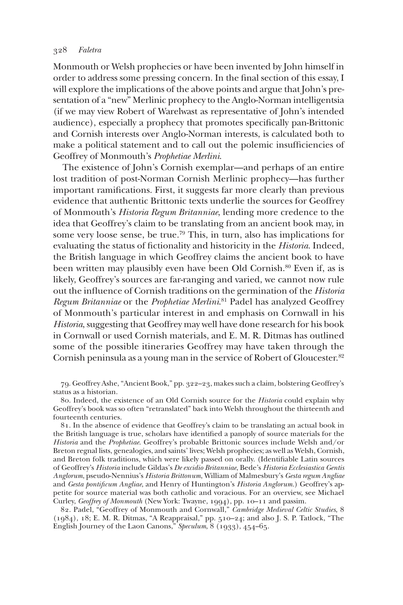#### 328 *Faletra*

Monmouth or Welsh prophecies or have been invented by John himself in order to address some pressing concern. In the final section of this essay, I will explore the implications of the above points and argue that John's presentation of a "new" Merlinic prophecy to the Anglo-Norman intelligentsia (if we may view Robert of Warelwast as representative of John's intended audience), especially a prophecy that promotes specifically pan-Brittonic and Cornish interests over Anglo-Norman interests, is calculated both to make a political statement and to call out the polemic insufficiencies of Geoffrey of Monmouth's *Prophetiae Merlini*.

The existence of John's Cornish exemplar—and perhaps of an entire lost tradition of post-Norman Cornish Merlinic prophecy—has further important ramifications. First, it suggests far more clearly than previous evidence that authentic Brittonic texts underlie the sources for Geoffrey of Monmouth's *Historia Regum Britanniae*, lending more credence to the idea that Geoffrey's claim to be translating from an ancient book may, in some very loose sense, be true.79 This, in turn, also has implications for evaluating the status of fictionality and historicity in the *Historia*. Indeed, the British language in which Geoffrey claims the ancient book to have been written may plausibly even have been Old Cornish.80 Even if, as is likely, Geoffrey's sources are far-ranging and varied, we cannot now rule out the influence of Cornish traditions on the germination of the *Historia Regum Britanniae* or the *Prophetiae Merlini*. 81 Padel has analyzed Geoffrey of Monmouth's particular interest in and emphasis on Cornwall in his *Historia*, suggesting that Geoffrey may well have done research for his book in Cornwall or used Cornish materials, and E. M. R. Ditmas has outlined some of the possible itineraries Geoffrey may have taken through the Cornish peninsula as a young man in the service of Robert of Gloucester.<sup>82</sup>

79. Geoffrey Ashe, "Ancient Book," pp. 322–23, makes such a claim, bolstering Geoffrey's status as a historian.

80. Indeed, the existence of an Old Cornish source for the *Historia* could explain why Geoffrey's book was so often "retranslated" back into Welsh throughout the thirteenth and fourteenth centuries.

81. In the absence of evidence that Geoffrey's claim to be translating an actual book in the British language is true, scholars have identified a panoply of source materials for the *Historia* and the *Prophetiae*. Geoffrey's probable Brittonic sources include Welsh and/or Breton regnal lists, genealogies, and saints' lives; Welsh prophecies; as well as Welsh, Cornish, and Breton folk traditions, which were likely passed on orally. (Identifiable Latin sources of Geoffrey's *Historia* include Gildas's *De excidio Britanniae*, Bede's *Historia Ecclesiastica Gentis Anglorum*, pseudo-Nennius's *Historia Brittonum*, William of Malmesbury's *Gesta regum Angliae* and *Gesta pontificum Angliae*, and Henry of Huntington's *Historia Anglorum.*) Geoffrey's appetite for source material was both catholic and voracious. For an overview, see Michael Curley, *Geoffrey of Monmouth* (New York: Twayne, 1994), pp. 10–11 and passim.

82. Padel, "Geoffrey of Monmouth and Cornwall," *Cambridge Medieval Celtic Studies*, 8 (1984), 18; E. M. R. Ditmas, "A Reappraisal," pp. 510–24; and also J. S. P. Tatlock, "The English Journey of the Laon Canons," *Speculum*, 8 (1933), 454–65.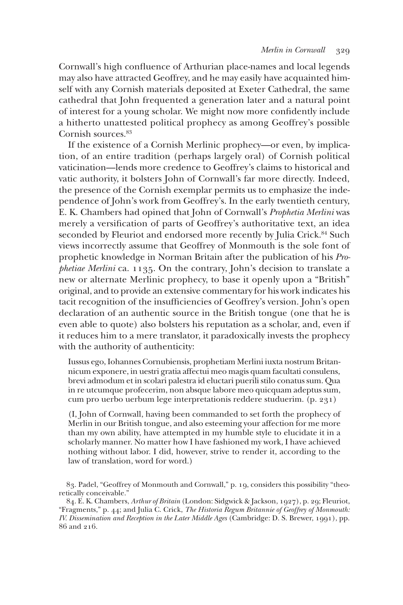Cornwall's high confluence of Arthurian place-names and local legends may also have attracted Geoffrey, and he may easily have acquainted himself with any Cornish materials deposited at Exeter Cathedral, the same cathedral that John frequented a generation later and a natural point of interest for a young scholar. We might now more confidently include a hitherto unattested political prophecy as among Geoffrey's possible Cornish sources.83

If the existence of a Cornish Merlinic prophecy—or even, by implication, of an entire tradition (perhaps largely oral) of Cornish political vaticination—lends more credence to Geoffrey's claims to historical and vatic authority, it bolsters John of Cornwall's far more directly. Indeed, the presence of the Cornish exemplar permits us to emphasize the independence of John's work from Geoffrey's. In the early twentieth century, E. K. Chambers had opined that John of Cornwall's *Prophetia Merlini* was merely a versification of parts of Geoffrey's authoritative text, an idea seconded by Fleuriot and endorsed more recently by Julia Crick.<sup>84</sup> Such views incorrectly assume that Geoffrey of Monmouth is the sole font of prophetic knowledge in Norman Britain after the publication of his *Prophetiae Merlini* ca. 1135. On the contrary, John's decision to translate a new or alternate Merlinic prophecy, to base it openly upon a "British" original, and to provide an extensive commentary for his work indicates his tacit recognition of the insufficiencies of Geoffrey's version. John's open declaration of an authentic source in the British tongue (one that he is even able to quote) also bolsters his reputation as a scholar, and, even if it reduces him to a mere translator, it paradoxically invests the prophecy with the authority of authenticity:

Iussus ego, Iohannes Cornubiensis, prophetiam Merlini iuxta nostrum Britannicum exponere, in uestri gratia affectui meo magis quam facultati consulens, brevi admodum et in scolari palestra id eluctari puerili stilo conatus sum. Qua in re utcumque profecerim, non absque labore meo quicquam adeptus sum, cum pro uerbo uerbum lege interpretationis reddere studuerim. (p. 231)

(I, John of Cornwall, having been commanded to set forth the prophecy of Merlin in our British tongue, and also esteeming your affection for me more than my own ability, have attempted in my humble style to elucidate it in a scholarly manner. No matter how I have fashioned my work, I have achieved nothing without labor. I did, however, strive to render it, according to the law of translation, word for word.)

83. Padel, "Geoffrey of Monmouth and Cornwall," p. 19, considers this possibility "theoretically conceivable."

84. E. K. Chambers, *Arthur of Britain* (London: Sidgwick & Jackson, 1927), p. 29; Fleuriot, "Fragments," p. 44; and Julia C. Crick, *The Historia Regum Britannie of Geoffrey of Monmouth: IV. Dissemination and Reception in the Later Middle Ages* (Cambridge: D. S. Brewer, 1991), pp. 86 and 216.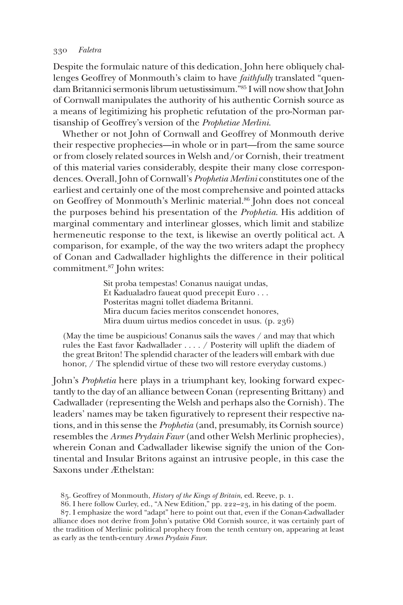Despite the formulaic nature of this dedication, John here obliquely challenges Geoffrey of Monmouth's claim to have *faithfully* translated "quendam Britannici sermonis librum uetustissimum."85 I will now show that John of Cornwall manipulates the authority of his authentic Cornish source as a means of legitimizing his prophetic refutation of the pro-Norman partisanship of Geoffrey's version of the *Prophetiae Merlini*.

Whether or not John of Cornwall and Geoffrey of Monmouth derive their respective prophecies—in whole or in part—from the same source or from closely related sources in Welsh and/or Cornish, their treatment of this material varies considerably, despite their many close correspondences. Overall, John of Cornwall's *Prophetia Merlini* constitutes one of the earliest and certainly one of the most comprehensive and pointed attacks on Geoffrey of Monmouth's Merlinic material.<sup>86</sup> John does not conceal the purposes behind his presentation of the *Prophetia*. His addition of marginal commentary and interlinear glosses, which limit and stabilize hermeneutic response to the text, is likewise an overtly political act. A comparison, for example, of the way the two writers adapt the prophecy of Conan and Cadwallader highlights the difference in their political commitment.87 John writes:

> Sit proba tempestas! Conanus nauigat undas, Et Kadualadro faueat quod precepit Euro . . . Posteritas magni tollet diadema Britanni. Mira ducum facies meritos conscendet honores, Mira duum uirtus medios concedet in usus. (p. 236)

(May the time be auspicious! Conanus sails the waves / and may that which rules the East favor Kadwallader . . . . / Posterity will uplift the diadem of the great Briton! The splendid character of the leaders will embark with due honor, / The splendid virtue of these two will restore everyday customs.)

John's *Prophetia* here plays in a triumphant key, looking forward expectantly to the day of an alliance between Conan (representing Brittany) and Cadwallader (representing the Welsh and perhaps also the Cornish). The leaders' names may be taken figuratively to represent their respective nations, and in this sense the *Prophetia* (and, presumably, its Cornish source) resembles the *Armes Prydain Fawr* (and other Welsh Merlinic prophecies), wherein Conan and Cadwallader likewise signify the union of the Continental and Insular Britons against an intrusive people, in this case the Saxons under Æthelstan:

85. Geoffrey of Monmouth, *History of the Kings of Britain*, ed. Reeve, p. 1.

87. I emphasize the word "adapt" here to point out that, even if the Conan-Cadwallader alliance does not derive from John's putative Old Cornish source, it was certainly part of the tradition of Merlinic political prophecy from the tenth century on, appearing at least as early as the tenth-century *Armes Prydain Fawr*.

<sup>86.</sup> I here follow Curley, ed., "A New Edition," pp. 222–23, in his dating of the poem.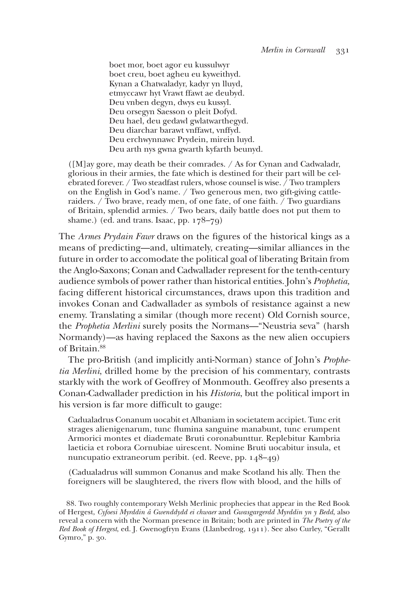boet mor, boet agor eu kussulwyr boet creu, boet agheu eu kyweithyd. Kynan a Chatwaladyr, kadyr yn lluyd, etmyccawr hyt Vrawt ffawt ae deubyd. Deu vnben degyn, dwys eu kussyl. Deu orsegyn Saesson o pleit Dofyd. Deu hael, deu gedawl gwlatwarthegyd. Deu diarchar barawt vnffawt, vnffyd. Deu erchwynnawc Prydein, mirein luyd. Deu arth nys gwna gwarth kyfarth beunyd.

([M]ay gore, may death be their comrades. / As for Cynan and Cadwaladr, glorious in their armies, the fate which is destined for their part will be celebrated forever. / Two steadfast rulers, whose counsel is wise. / Two tramplers on the English in God's name. / Two generous men, two gift-giving cattleraiders. / Two brave, ready men, of one fate, of one faith. / Two guardians of Britain, splendid armies. / Two bears, daily battle does not put them to shame.) (ed. and trans. Isaac, pp. 178–79)

The *Armes Prydain Fawr* draws on the figures of the historical kings as a means of predicting—and, ultimately, creating—similar alliances in the future in order to accomodate the political goal of liberating Britain from the Anglo-Saxons; Conan and Cadwallader represent for the tenth-century audience symbols of power rather than historical entities. John's *Prophetia,*  facing different historical circumstances, draws upon this tradition and invokes Conan and Cadwallader as symbols of resistance against a new enemy. Translating a similar (though more recent) Old Cornish source, the *Prophetia Merlini* surely posits the Normans—"Neustria seva" (harsh Normandy)—as having replaced the Saxons as the new alien occupiers of Britain.88

The pro-British (and implicitly anti-Norman) stance of John's *Prophetia Merlini*, drilled home by the precision of his commentary, contrasts starkly with the work of Geoffrey of Monmouth. Geoffrey also presents a Conan-Cadwallader prediction in his *Historia*, but the political import in his version is far more difficult to gauge:

Cadualadrus Conanum uocabit et Albaniam in societatem accipiet. Tunc erit strages alienigenarum, tunc flumina sanguine manabunt, tunc erumpent Armorici montes et diademate Bruti coronabunttur. Replebitur Kambria laeticia et robora Cornubiae uirescent. Nomine Bruti uocabitur insula, et nuncupatio extraneorum peribit. (ed. Reeve, pp. 148–49)

(Cadualadrus will summon Conanus and make Scotland his ally. Then the foreigners will be slaughtered, the rivers flow with blood, and the hills of

88. Two roughly contemporary Welsh Merlinic prophecies that appear in the Red Book of Hergest, *Cyfoesi Myrddin â Gwenddydd ei chwaer* and *Gwasgargerdd Myrddin yn y Bedd*, also reveal a concern with the Norman presence in Britain; both are printed in *The Poetry of the Red Book of Hergest*, ed. J. Gwenogfryn Evans (Llanbedrog, 1911). See also Curley, "Gerallt Gymro," p. 30.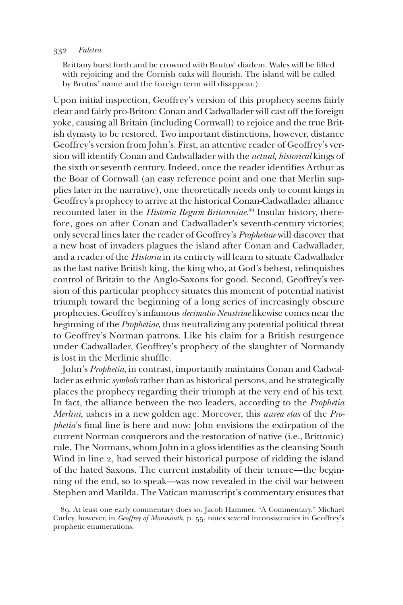#### 332 *Faletra*

Brittany burst forth and be crowned with Brutus' diadem. Wales will be filled with rejoicing and the Cornish oaks will flourish. The island will be called by Brutus' name and the foreign term will disappear.)

Upon initial inspection, Geoffrey's version of this prophecy seems fairly clear and fairly pro-Briton: Conan and Cadwallader will cast off the foreign yoke, causing all Britain (including Cornwall) to rejoice and the true British dynasty to be restored. Two important distinctions, however, distance Geoffrey's version from John's. First, an attentive reader of Geoffrey's version will identify Conan and Cadwallader with the *actual*, *historical* kings of the sixth or seventh century. Indeed, once the reader identifies Arthur as the Boar of Cornwall (an easy reference point and one that Merlin supplies later in the narrative), one theoretically needs only to count kings in Geoffrey's prophecy to arrive at the historical Conan-Cadwallader alliance recounted later in the *Historia Regum Britanniae*. 89 Insular history, therefore, goes on after Conan and Cadwallader's seventh-century victories; only several lines later the reader of Geoffrey's *Prophetiae* will discover that a new host of invaders plagues the island after Conan and Cadwallader, and a reader of the *Historia* in its entirety will learn to situate Cadwallader as the last native British king, the king who, at God's behest, relinquishes control of Britain to the Anglo-Saxons for good. Second, Geoffrey's version of this particular prophecy situates this moment of potential nativist triumph toward the beginning of a long series of increasingly obscure prophecies. Geoffrey's infamous *decimatio Neustriae* likewise comes near the beginning of the *Prophetiae*, thus neutralizing any potential political threat to Geoffrey's Norman patrons. Like his claim for a British resurgence under Cadwallader, Geoffrey's prophecy of the slaughter of Normandy is lost in the Merlinic shuffle.

John's *Prophetia*, in contrast, importantly maintains Conan and Cadwallader as ethnic *symbols* rather than as historical persons, and he strategically places the prophecy regarding their triumph at the very end of his text. In fact, the alliance between the two leaders, according to the *Prophetia Merlini*, ushers in a new golden age. Moreover, this *aurea etas* of the *Prophetia*'s final line is here and now: John envisions the extirpation of the current Norman conquerors and the restoration of native (i.e., Brittonic) rule. The Normans, whom John in a gloss identifies as the cleansing South Wind in line 2, had served their historical purpose of ridding the island of the hated Saxons. The current instability of their tenure—the beginning of the end, so to speak—was now revealed in the civil war between Stephen and Matilda. The Vatican manuscript's commentary ensures that

<sup>89.</sup> At least one early commentary does so. Jacob Hammer, "A Commentary." Michael Curley, however, in *Geoffrey of Monmouth*, p. 55, notes several inconsistencies in Geoffrey's prophetic enumerations.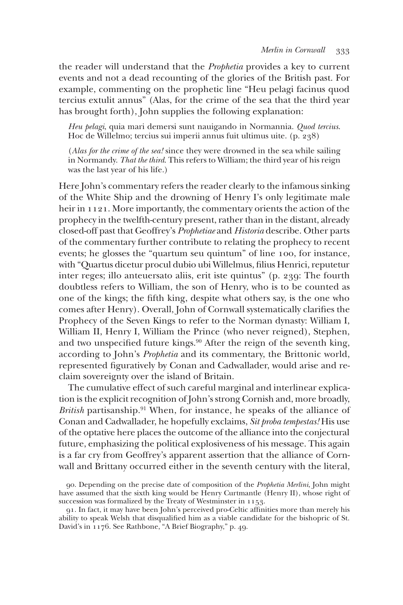the reader will understand that the *Prophetia* provides a key to current events and not a dead recounting of the glories of the British past. For example, commenting on the prophetic line "Heu pelagi facinus quod tercius extulit annus" (Alas, for the crime of the sea that the third year has brought forth), John supplies the following explanation:

*Heu pelagi*, quia mari demersi sunt nauigando in Normannia. *Quod tercius*. Hoc de Willelmo; tercius sui imperii annus fuit ultimus uite. (p. 238)

(*Alas for the crime of the sea!* since they were drowned in the sea while sailing in Normandy. *That the third*. This refers to William; the third year of his reign was the last year of his life.)

Here John's commentary refers the reader clearly to the infamous sinking of the White Ship and the drowning of Henry I's only legitimate male heir in 1121. More importantly, the commentary orients the action of the prophecy in the twelfth-century present, rather than in the distant, already closed-off past that Geoffrey's *Prophetiae* and *Historia* describe. Other parts of the commentary further contribute to relating the prophecy to recent events; he glosses the "quartum seu quintum" of line 100, for instance, with "Quartus dicetur procul dubio ubi Willelmus, filius Henrici, reputetur inter reges; illo anteuersato aliis, erit iste quintus" (p. 239: The fourth doubtless refers to William, the son of Henry, who is to be counted as one of the kings; the fifth king, despite what others say, is the one who comes after Henry). Overall, John of Cornwall systematically clarifies the Prophecy of the Seven Kings to refer to the Norman dynasty: William I, William II, Henry I, William the Prince (who never reigned), Stephen, and two unspecified future kings.<sup>90</sup> After the reign of the seventh king, according to John's *Prophetia* and its commentary, the Brittonic world, represented figuratively by Conan and Cadwallader, would arise and reclaim sovereignty over the island of Britain.

The cumulative effect of such careful marginal and interlinear explication is the explicit recognition of John's strong Cornish and, more broadly, *British* partisanship.91 When, for instance, he speaks of the alliance of Conan and Cadwallader, he hopefully exclaims, *Sit proba tempestas!* His use of the optative here places the outcome of the alliance into the conjectural future, emphasizing the political explosiveness of his message. This again is a far cry from Geoffrey's apparent assertion that the alliance of Cornwall and Brittany occurred either in the seventh century with the literal,

<sup>90.</sup> Depending on the precise date of composition of the *Prophetia Merlini*, John might have assumed that the sixth king would be Henry Curtmantle (Henry II), whose right of succession was formalized by the Treaty of Westminster in 1153.

<sup>91.</sup> In fact, it may have been John's perceived pro-Celtic affinities more than merely his ability to speak Welsh that disqualified him as a viable candidate for the bishopric of St. David's in 1176. See Rathbone, "A Brief Biography," p. 49.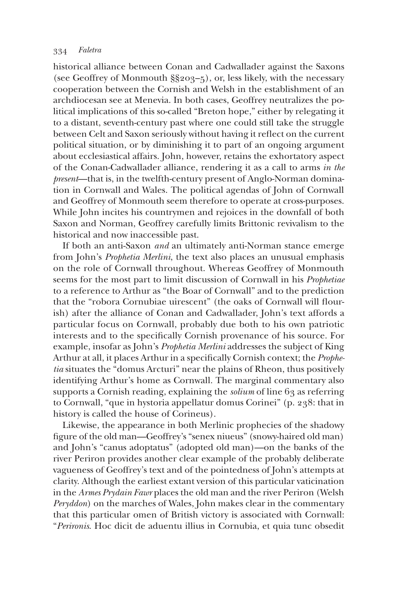historical alliance between Conan and Cadwallader against the Saxons (see Geoffrey of Monmouth §§203–5), or, less likely, with the necessary cooperation between the Cornish and Welsh in the establishment of an archdiocesan see at Menevia. In both cases, Geoffrey neutralizes the political implications of this so-called "Breton hope," either by relegating it to a distant, seventh-century past where one could still take the struggle between Celt and Saxon seriously without having it reflect on the current political situation, or by diminishing it to part of an ongoing argument about ecclesiastical affairs. John, however, retains the exhortatory aspect of the Conan-Cadwallader alliance, rendering it as a call to arms *in the present*—that is, in the twelfth-century present of Anglo-Norman domination in Cornwall and Wales. The political agendas of John of Cornwall and Geoffrey of Monmouth seem therefore to operate at cross-purposes. While John incites his countrymen and rejoices in the downfall of both Saxon and Norman, Geoffrey carefully limits Brittonic revivalism to the historical and now inaccessible past.

If both an anti-Saxon *and* an ultimately anti-Norman stance emerge from John's *Prophetia Merlini*, the text also places an unusual emphasis on the role of Cornwall throughout. Whereas Geoffrey of Monmouth seems for the most part to limit discussion of Cornwall in his *Prophetiae* to a reference to Arthur as "the Boar of Cornwall" and to the prediction that the "robora Cornubiae uirescent" (the oaks of Cornwall will flourish) after the alliance of Conan and Cadwallader, John's text affords a particular focus on Cornwall, probably due both to his own patriotic interests and to the specifically Cornish provenance of his source. For example, insofar as John's *Prophetia Merlini* addresses the subject of King Arthur at all, it places Arthur in a specifically Cornish context; the *Prophetia* situates the "domus Arcturi" near the plains of Rheon, thus positively identifying Arthur's home as Cornwall. The marginal commentary also supports a Cornish reading, explaining the *solium* of line 63 as referring to Cornwall, "que in hystoria appellatur domus Corinei" (p. 238: that in history is called the house of Corineus).

Likewise, the appearance in both Merlinic prophecies of the shadowy figure of the old man—Geoffrey's "senex niueus" (snowy-haired old man) and John's "canus adoptatus" (adopted old man)—on the banks of the river Periron provides another clear example of the probably deliberate vagueness of Geoffrey's text and of the pointedness of John's attempts at clarity. Although the earliest extant version of this particular vaticination in the *Armes Prydain Fawr* places the old man and the river Periron (Welsh *Peryddon*) on the marches of Wales, John makes clear in the commentary that this particular omen of British victory is associated with Cornwall: "*Perironis*. Hoc dicit de aduentu illius in Cornubia, et quia tunc obsedit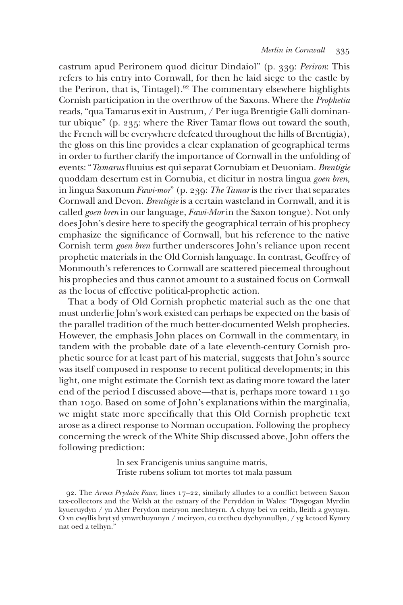castrum apud Perironem quod dicitur Dindaiol" (p. 339: *Periron*: This refers to his entry into Cornwall, for then he laid siege to the castle by the Periron, that is, Tintagel).<sup>92</sup> The commentary elsewhere highlights Cornish participation in the overthrow of the Saxons. Where the *Prophetia* reads, "qua Tamarus exit in Austrum, / Per iuga Brentigie Galli dominantur ubique" (p. 235: where the River Tamar flows out toward the south, the French will be everywhere defeated throughout the hills of Brentigia), the gloss on this line provides a clear explanation of geographical terms in order to further clarify the importance of Cornwall in the unfolding of events: "*Tamarus* fluuius est qui separat Cornubiam et Deuoniam. *Brentigie* quoddam desertum est in Cornubia, et dicitur in nostra lingua *goen bren*, in lingua Saxonum *Fawi-mor*" (p. 239: *The Tamar* is the river that separates Cornwall and Devon. *Brentigie* is a certain wasteland in Cornwall, and it is called *goen bren* in our language, *Fawi-Mor* in the Saxon tongue). Not only does John's desire here to specify the geographical terrain of his prophecy emphasize the significance of Cornwall, but his reference to the native Cornish term *goen bren* further underscores John's reliance upon recent prophetic materials in the Old Cornish language. In contrast, Geoffrey of Monmouth's references to Cornwall are scattered piecemeal throughout his prophecies and thus cannot amount to a sustained focus on Cornwall as the locus of effective political-prophetic action.

That a body of Old Cornish prophetic material such as the one that must underlie John's work existed can perhaps be expected on the basis of the parallel tradition of the much better-documented Welsh prophecies. However, the emphasis John places on Cornwall in the commentary, in tandem with the probable date of a late eleventh-century Cornish prophetic source for at least part of his material, suggests that John's source was itself composed in response to recent political developments; in this light, one might estimate the Cornish text as dating more toward the later end of the period I discussed above—that is, perhaps more toward 1130 than 1050. Based on some of John's explanations within the marginalia, we might state more specifically that this Old Cornish prophetic text arose as a direct response to Norman occupation. Following the prophecy concerning the wreck of the White Ship discussed above, John offers the following prediction:

> In sex Francigenis unius sanguine matris, Triste rubens solium tot mortes tot mala passum

92. The *Armes Prydain Fawr*, lines 17–22, similarly alludes to a conflict between Saxon tax-collectors and the Welsh at the estuary of the Peryddon in Wales: "Dysgogan Myrdin kyueruydyn / yn Aber Perydon meiryon mechteyrn. A chyny bei vn reith, lleith a gwynyn. O vn ewyllis bryt yd ymwrthuynnyn / meiryon, eu tretheu dychynnullyn, / yg ketoed Kymry nat oed a telhyn."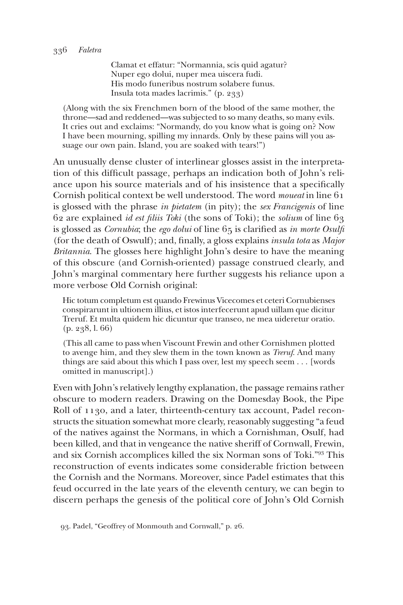#### 336 *Faletra*

Clamat et effatur: "Normannia, scis quid agatur? Nuper ego dolui, nuper mea uiscera fudi. His modo funeribus nostrum solabere funus. Insula tota mades lacrimis." (p. 233)

(Along with the six Frenchmen born of the blood of the same mother, the throne—sad and reddened—was subjected to so many deaths, so many evils. It cries out and exclaims: "Normandy, do you know what is going on? Now I have been mourning, spilling my innards. Only by these pains will you assuage our own pain. Island, you are soaked with tears!")

An unusually dense cluster of interlinear glosses assist in the interpretation of this difficult passage, perhaps an indication both of John's reliance upon his source materials and of his insistence that a specifically Cornish political context be well understood. The word *moueat* in line 61 is glossed with the phrase *in pietatem* (in pity); the *sex Francigenis* of line 62 are explained *id est filiis Toki* (the sons of Toki); the *solium* of line 63 is glossed as *Cornubia*; the *ego dolui* of line 65 is clarified as *in morte Osulfi* (for the death of Oswulf); and, finally, a gloss explains *insula tota* as *Major Britannia*. The glosses here highlight John's desire to have the meaning of this obscure (and Cornish-oriented) passage construed clearly, and John's marginal commentary here further suggests his reliance upon a more verbose Old Cornish original:

Hic totum completum est quando Frewinus Vicecomes et ceteri Cornubienses conspirarunt in ultionem illius, et istos interfecerunt apud uillam que dicitur Treruf. Et multa quidem hic dicuntur que transeo, ne mea uideretur oratio. (p. 238, l. 66)

(This all came to pass when Viscount Frewin and other Cornishmen plotted to avenge him, and they slew them in the town known as *Treruf*. And many things are said about this which I pass over, lest my speech seem . . . [words omitted in manuscript].)

Even with John's relatively lengthy explanation, the passage remains rather obscure to modern readers. Drawing on the Domesday Book, the Pipe Roll of 1130, and a later, thirteenth-century tax account, Padel reconstructs the situation somewhat more clearly, reasonably suggesting "a feud of the natives against the Normans, in which a Cornishman, Osulf, had been killed, and that in vengeance the native sheriff of Cornwall, Frewin, and six Cornish accomplices killed the six Norman sons of Toki."93 This reconstruction of events indicates some considerable friction between the Cornish and the Normans. Moreover, since Padel estimates that this feud occurred in the late years of the eleventh century, we can begin to discern perhaps the genesis of the political core of John's Old Cornish

<sup>93.</sup> Padel, "Geoffrey of Monmouth and Cornwall," p. 26.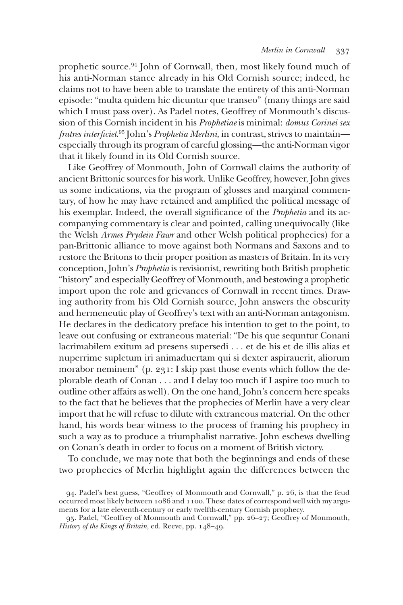prophetic source.94 John of Cornwall, then, most likely found much of his anti-Norman stance already in his Old Cornish source; indeed, he claims not to have been able to translate the entirety of this anti-Norman episode: "multa quidem hic dicuntur que transeo" (many things are said which I must pass over). As Padel notes, Geoffrey of Monmouth's discussion of this Cornish incident in his *Prophetiae* is minimal: *domus Corinei sex fratres interficiet*. 95 John's *Prophetia Merlini*, in contrast, strives to maintain especially through its program of careful glossing—the anti-Norman vigor that it likely found in its Old Cornish source.

Like Geoffrey of Monmouth, John of Cornwall claims the authority of ancient Brittonic sources for his work. Unlike Geoffrey, however, John gives us some indications, via the program of glosses and marginal commentary, of how he may have retained and amplified the political message of his exemplar. Indeed, the overall significance of the *Prophetia* and its accompanying commentary is clear and pointed, calling unequivocally (like the Welsh *Armes Prydein Fawr* and other Welsh political prophecies) for a pan-Brittonic alliance to move against both Normans and Saxons and to restore the Britons to their proper position as masters of Britain. In its very conception, John's *Prophetia* is revisionist, rewriting both British prophetic "history" and especially Geoffrey of Monmouth, and bestowing a prophetic import upon the role and grievances of Cornwall in recent times. Drawing authority from his Old Cornish source, John answers the obscurity and hermeneutic play of Geoffrey's text with an anti-Norman antagonism. He declares in the dedicatory preface his intention to get to the point, to leave out confusing or extraneous material: "De his que sequntur Conani lacrimabilem exitum ad presens supersedi . . . et de his et de illis alias et nuperrime supletum iri animaduertam qui si dexter aspirauerit, aliorum morabor neminem" (p. 231: I skip past those events which follow the deplorable death of Conan . . . and I delay too much if I aspire too much to outline other affairs as well). On the one hand, John's concern here speaks to the fact that he believes that the prophecies of Merlin have a very clear import that he will refuse to dilute with extraneous material. On the other hand, his words bear witness to the process of framing his prophecy in such a way as to produce a triumphalist narrative. John eschews dwelling on Conan's death in order to focus on a moment of British victory.

To conclude, we may note that both the beginnings and ends of these two prophecies of Merlin highlight again the differences between the

<sup>94.</sup> Padel's best guess, "Geoffrey of Monmouth and Cornwall," p. 26, is that the feud occurred most likely between 1086 and 1100. These dates of correspond well with my arguments for a late eleventh-century or early twelfth-century Cornish prophecy.

<sup>95.</sup> Padel, "Geoffrey of Monmouth and Cornwall," pp. 26–27; Geoffrey of Monmouth, *History of the Kings of Britain*, ed. Reeve, pp. 148–49.